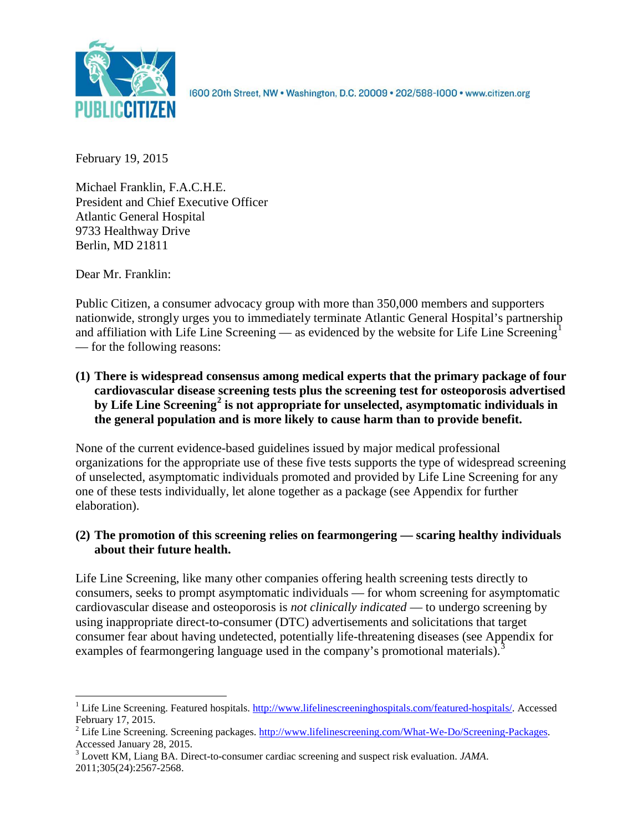

1600 20th Street, NW . Washington, D.C. 20009 . 202/588-1000 . www.citizen.org

February 19, 2015

Michael Franklin, F.A.C.H.E. President and Chief Executive Officer Atlantic General Hospital 9733 Healthway Drive Berlin, MD 21811

Dear Mr. Franklin:

Public Citizen, a consumer advocacy group with more than 350,000 members and supporters nationwide, strongly urges you to immediately terminate Atlantic General Hospital's partnership and affiliation with Life Line Screening — as evidenced by the website for Life Line Screening<sup>[1](#page-0-0)</sup> — for the following reasons:

**(1) There is widespread consensus among medical experts that the primary package of four cardiovascular disease screening tests plus the screening test for osteoporosis advertised by Life Line Screening[2](#page-0-1) is not appropriate for unselected, asymptomatic individuals in the general population and is more likely to cause harm than to provide benefit.**

None of the current evidence-based guidelines issued by major medical professional organizations for the appropriate use of these five tests supports the type of widespread screening of unselected, asymptomatic individuals promoted and provided by Life Line Screening for any one of these tests individually, let alone together as a package (see Appendix for further elaboration).

# **(2) The promotion of this screening relies on fearmongering — scaring healthy individuals about their future health.**

Life Line Screening, like many other companies offering health screening tests directly to consumers, seeks to prompt asymptomatic individuals — for whom screening for asymptomatic cardiovascular disease and osteoporosis is *not clinically indicated* — to undergo screening by using inappropriate direct-to-consumer (DTC) advertisements and solicitations that target consumer fear about having undetected, potentially life-threatening diseases (see Appendix for examples of fearmongering language used in the company's promotional materials).<sup>[3](#page-0-2)</sup>

<span id="page-0-0"></span><sup>&</sup>lt;sup>1</sup> Life Line Screening. Featured hospitals.  $\frac{http://www.lifelinescreeninghospitals.com/featured-hospitals/}{$ . Accessed February 17, 2015.

<span id="page-0-1"></span><sup>&</sup>lt;sup>2</sup> Life Line Screening. Screening packages.  $\frac{http://www.lifelinescreening.com/What-We-Do/Screening-Packages. Accessed January 28, 2015.$ 

<span id="page-0-2"></span><sup>&</sup>lt;sup>3</sup> Lovett KM, Liang BA. Direct-to-consumer cardiac screening and suspect risk evaluation. *JAMA*. 2011;305(24):2567-2568.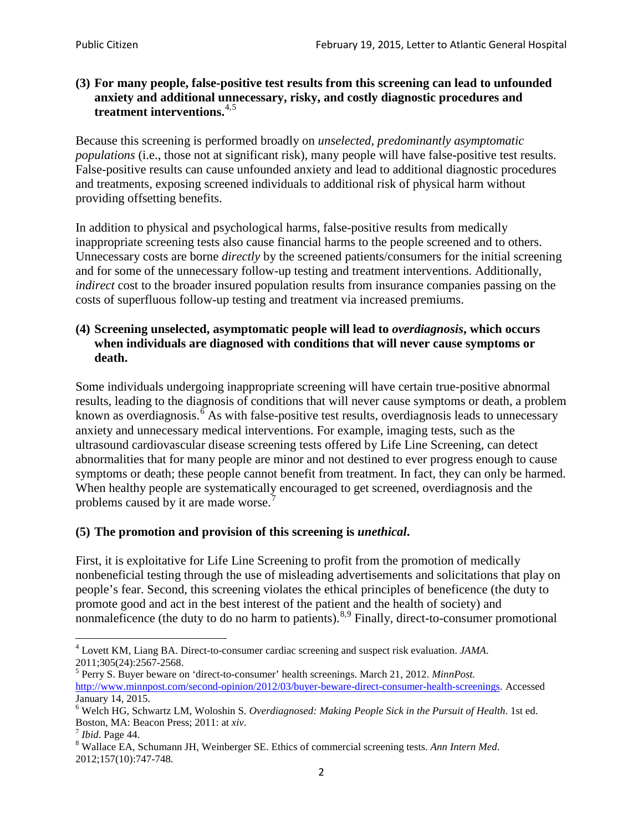# **(3) For many people, false-positive test results from this screening can lead to unfounded anxiety and additional unnecessary, risky, and costly diagnostic procedures and treatment interventions.**[4](#page-1-0),[5](#page-1-1)

Because this screening is performed broadly on *unselected, predominantly asymptomatic populations* (i.e., those not at significant risk), many people will have false**-**positive test results. False-positive results can cause unfounded anxiety and lead to additional diagnostic procedures and treatments, exposing screened individuals to additional risk of physical harm without providing offsetting benefits.

In addition to physical and psychological harms, false-positive results from medically inappropriate screening tests also cause financial harms to the people screened and to others. Unnecessary costs are borne *directly* by the screened patients/consumers for the initial screening and for some of the unnecessary follow-up testing and treatment interventions. Additionally, *indirect* cost to the broader insured population results from insurance companies passing on the costs of superfluous follow-up testing and treatment via increased premiums.

# **(4) Screening unselected, asymptomatic people will lead to** *overdiagnosis***, which occurs when individuals are diagnosed with conditions that will never cause symptoms or death.**

Some individuals undergoing inappropriate screening will have certain true-positive abnormal results, leading to the diagnosis of conditions that will never cause symptoms or death, a problem known as overdiagnosis.<sup>[6](#page-1-2)</sup> As with false-positive test results, overdiagnosis leads to unnecessary anxiety and unnecessary medical interventions. For example, imaging tests, such as the ultrasound cardiovascular disease screening tests offered by Life Line Screening, can detect abnormalities that for many people are minor and not destined to ever progress enough to cause symptoms or death; these people cannot benefit from treatment. In fact, they can only be harmed. When healthy people are systematically encouraged to get screened, overdiagnosis and the problems caused by it are made worse.<sup>[7](#page-1-3)</sup>

# **(5) The promotion and provision of this screening is** *unethical***.**

First, it is exploitative for Life Line Screening to profit from the promotion of medically nonbeneficial testing through the use of misleading advertisements and solicitations that play on people's fear. Second, this screening violates the ethical principles of beneficence (the duty to promote good and act in the best interest of the patient and the health of society) and nonmaleficence (the duty to do no harm to patients).<sup>[8](#page-1-4),[9](#page-1-5)</sup> Finally, direct-to-consumer promotional

<span id="page-1-4"></span>2012;157(10):747-748.

<span id="page-1-5"></span><span id="page-1-0"></span><sup>4</sup> Lovett KM, Liang BA. Direct-to-consumer cardiac screening and suspect risk evaluation. *JAMA*.

<span id="page-1-1"></span><sup>2011;305(24):2567-2568.</sup> <sup>5</sup> Perry S. Buyer beware on 'direct-to-consumer' health screenings. March 21, 2012. *MinnPost.*  [http://www.minnpost.com/second-opinion/2012/03/buyer-beware-direct-consumer-health-screenings.](http://www.minnpost.com/second-opinion/2012/03/buyer-beware-direct-consumer-health-screenings) Accessed January 14, 2015.

<span id="page-1-2"></span><sup>6</sup> Welch HG, Schwartz LM, Woloshin S. *Overdiagnosed: Making People Sick in the Pursuit of Health*. 1st ed. Boston, MA: Beacon Press; 2011: at *xiv*.<br><sup>7</sup> *Ibid*. Page 44.<br><sup>8</sup> Wallace EA, Schumann JH, Weinberger SE. Ethics of commercial screening tests. *Ann Intern Med*.

<span id="page-1-3"></span>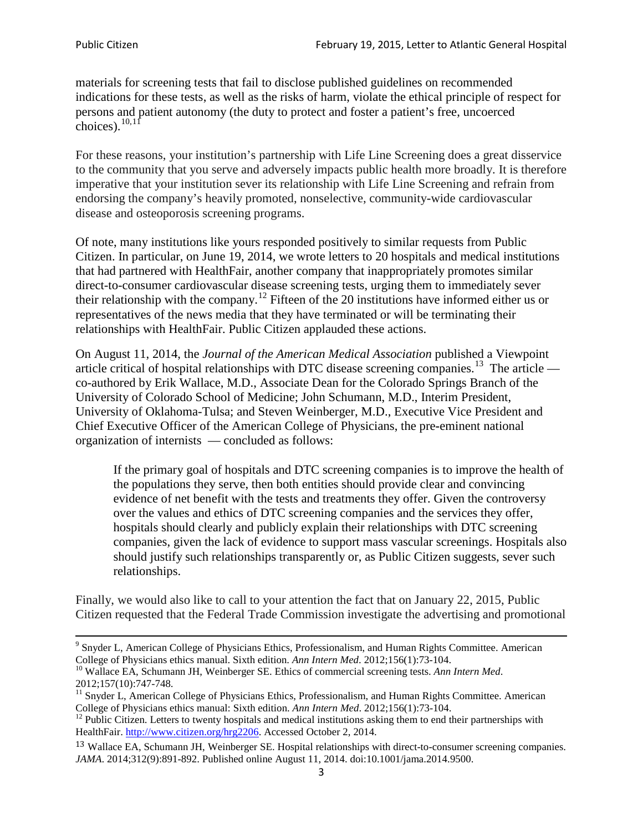materials for screening tests that fail to disclose published guidelines on recommended indications for these tests, as well as the risks of harm, violate the ethical principle of respect for persons and patient autonomy (the duty to protect and foster a patient's free, uncoerced choices). $\frac{10,11}{10,11}$  $\frac{10,11}{10,11}$  $\frac{10,11}{10,11}$  $\frac{10,11}{10,11}$ 

For these reasons, your institution's partnership with Life Line Screening does a great disservice to the community that you serve and adversely impacts public health more broadly. It is therefore imperative that your institution sever its relationship with Life Line Screening and refrain from endorsing the company's heavily promoted, nonselective, community**-**wide cardiovascular disease and osteoporosis screening programs.

Of note, many institutions like yours responded positively to similar requests from Public Citizen. In particular, on June 19, 2014, we wrote letters to 20 hospitals and medical institutions that had partnered with HealthFair, another company that inappropriately promotes similar direct-to-consumer cardiovascular disease screening tests, urging them to immediately sever their relationship with the company. [12](#page-2-2) Fifteen of the 20 institutions have informed either us or representatives of the news media that they have terminated or will be terminating their relationships with HealthFair. Public Citizen applauded these actions.

On August 11, 2014, the *Journal of the American Medical Association* published a Viewpoint article critical of hospital relationships with DTC disease screening companies.<sup>13</sup> The article co-authored by Erik Wallace, M.D., Associate Dean for the Colorado Springs Branch of the University of Colorado School of Medicine; John Schumann, M.D., Interim President, University of Oklahoma-Tulsa; and Steven Weinberger, M.D., Executive Vice President and Chief Executive Officer of the American College of Physicians, the pre**-**eminent national organization of internists — concluded as follows:

If the primary goal of hospitals and DTC screening companies is to improve the health of the populations they serve, then both entities should provide clear and convincing evidence of net benefit with the tests and treatments they offer. Given the controversy over the values and ethics of DTC screening companies and the services they offer, hospitals should clearly and publicly explain their relationships with DTC screening companies, given the lack of evidence to support mass vascular screenings. Hospitals also should justify such relationships transparently or, as Public Citizen suggests, sever such relationships.

Finally, we would also like to call to your attention the fact that on January 22, 2015, Public Citizen requested that the Federal Trade Commission investigate the advertising and promotional

<sup>&</sup>lt;sup>9</sup> Snyder L, American College of Physicians Ethics, Professionalism, and Human Rights Committee. American College of Physicians ethics manual. Sixth edition. Ann Intern Med. 2012;156(1):73-104.

<span id="page-2-0"></span><sup>&</sup>lt;sup>10</sup> Wallace EA, Schumann JH, Weinberger SE. Ethics of commercial screening tests. *Ann Intern Med*. 2012;157(10):747-748.

<span id="page-2-1"></span> $11$  Snyder L, American College of Physicians Ethics, Professionalism, and Human Rights Committee. American College of Physicians ethics manual: Sixth edition. *Ann Intern Med*. 2012;156(1):73-104.<br><sup>12</sup> Public Citizen. Letters to twenty hospitals and medical institutions asking them to end their partnerships with

<span id="page-2-2"></span>HealthFair. [http://www.citizen.org/hrg2206.](http://www.citizen.org/hrg2206) Accessed October 2, 2014.

<span id="page-2-3"></span><sup>13</sup> Wallace EA, Schumann JH, Weinberger SE. Hospital relationships with direct-to-consumer screening companies. *JAMA*. 2014;312(9):891-892. Published online August 11, 2014. doi:10.1001/jama.2014.9500.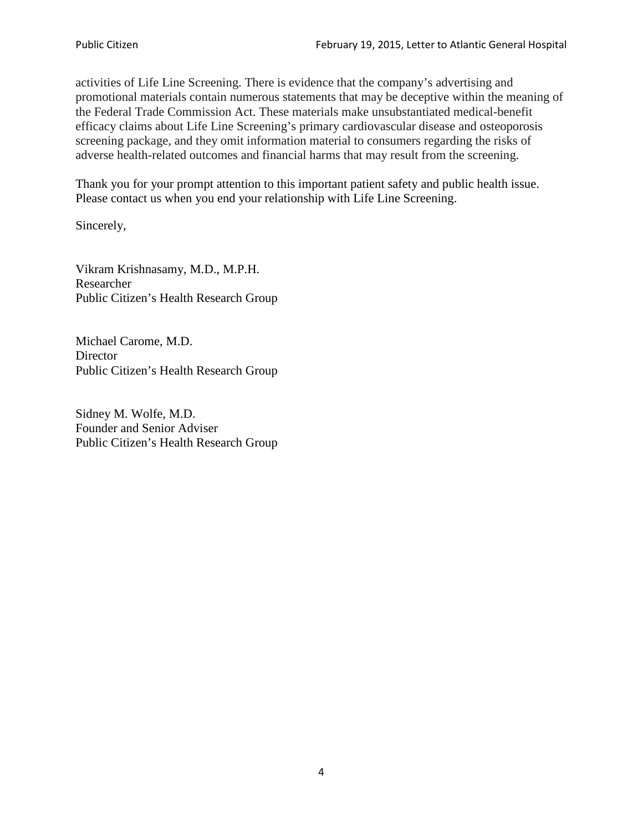activities of Life Line Screening. There is evidence that the company's advertising and promotional materials contain numerous statements that may be deceptive within the meaning of the Federal Trade Commission Act. These materials make unsubstantiated medical-benefit efficacy claims about Life Line Screening's primary cardiovascular disease and osteoporosis screening package, and they omit information material to consumers regarding the risks of adverse health-related outcomes and financial harms that may result from the screening.

Thank you for your prompt attention to this important patient safety and public health issue. Please contact us when you end your relationship with Life Line Screening.

Sincerely,

Vikram Krishnasamy, M.D., M.P.H. Researcher Public Citizen's Health Research Group

Michael Carome, M.D. **Director** Public Citizen's Health Research Group

Sidney M. Wolfe, M.D. Founder and Senior Adviser Public Citizen's Health Research Group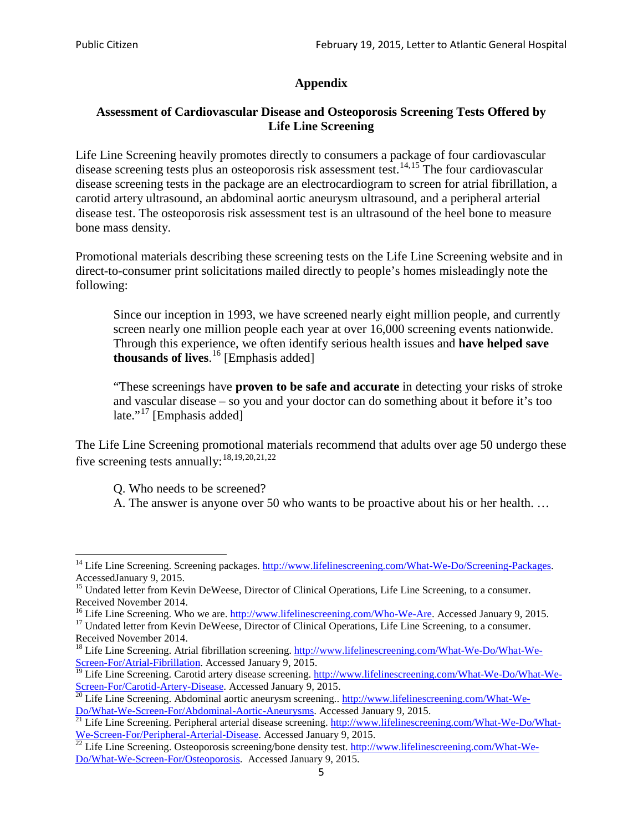# **Appendix**

# **Assessment of Cardiovascular Disease and Osteoporosis Screening Tests Offered by Life Line Screening**

Life Line Screening heavily promotes directly to consumers a package of four cardiovascular disease screening tests plus an osteoporosis risk assessment test.<sup>[14](#page-4-0),[15](#page-4-1)</sup> The four cardiovascular disease screening tests in the package are an electrocardiogram to screen for atrial fibrillation, a carotid artery ultrasound, an abdominal aortic aneurysm ultrasound, and a peripheral arterial disease test. The osteoporosis risk assessment test is an ultrasound of the heel bone to measure bone mass density.

Promotional materials describing these screening tests on the Life Line Screening website and in direct-to-consumer print solicitations mailed directly to people's homes misleadingly note the following:

Since our inception in 1993, we have screened nearly eight million people, and currently screen nearly one million people each year at over 16,000 screening events nationwide. Through this experience, we often identify serious health issues and **have helped save thousands of lives**. [16](#page-4-2) [Emphasis added]

"These screenings have **proven to be safe and accurate** in detecting your risks of stroke and vascular disease – so you and your doctor can do something about it before it's too late."<sup>[17](#page-4-3)</sup> [Emphasis added]

The Life Line Screening promotional materials recommend that adults over age 50 undergo these five screening tests annually:<sup>[18](#page-4-4),[19,](#page-4-5)[20,](#page-4-6)[21](#page-4-7),[22](#page-4-8)</sup>

Q. Who needs to be screened?

A. The answer is anyone over 50 who wants to be proactive about his or her health. …

<span id="page-4-0"></span><sup>&</sup>lt;sup>14</sup> Life Line Screening. Screening packages. [http://www.lifelinescreening.com/What-We-Do/Screening-Packages.](http://www.lifelinescreening.com/What-We-Do/Screening-Packages) AccessedJanuary 9, 2015.

<span id="page-4-1"></span><sup>&</sup>lt;sup>15</sup> Undated letter from Kevin DeWeese, Director of Clinical Operations, Life Line Screening, to a consumer.

Received November 2014.<br><sup>16</sup> Life Line Screening. Who we are. http://www.lifelinescreening.com/Who-We-Are. Accessed January 9, 2015.

<span id="page-4-3"></span><span id="page-4-2"></span><sup>&</sup>lt;sup>17</sup> Undated letter from Kevin DeWeese, Director of Clinical Operations, Life Line Screening, to a consumer. Received November 2014.

<span id="page-4-4"></span><sup>&</sup>lt;sup>18</sup> Life Line Screening. Atrial fibrillation screening. [http://www.lifelinescreening.com/What-We-Do/What-We-](http://www.lifelinescreening.com/What-We-Do/What-We-Screen-For/Atrial-Fibrillation)[Screen-For/Atrial-Fibrillation.](http://www.lifelinescreening.com/What-We-Do/What-We-Screen-For/Atrial-Fibrillation) Accessed January 9, 2015.

<sup>&</sup>lt;sup>19</sup> Life Line Screening. Carotid artery disease screening. [http://www.lifelinescreening.com/What-We-Do/What-We-](http://www.lifelinescreening.com/What-We-Do/What-We-Screen-For/Carotid-Artery-Disease)

<span id="page-4-6"></span><span id="page-4-5"></span>[Screen-For/Carotid-Artery-Disease.](http://www.lifelinescreening.com/What-We-Do/What-We-Screen-For/Carotid-Artery-Disease) Accessed January 9, 2015.<br><sup>20</sup> Life Line Screening. Abdominal aortic aneurysm screening.. http://www.lifelinescreening.com/What-We-Do/What-We-Do/What-We-Screen-For/Abdominal-Aortic-Aneury

<span id="page-4-7"></span> $\frac{1}{21}$  Life Line Screening. Peripheral arterial disease screening. [http://www.lifelinescreening.com/What-We-Do/What-](http://www.lifelinescreening.com/What-We-Do/What-We-Screen-For/Peripheral-Arterial-Disease)

<span id="page-4-8"></span>[We-Screen-For/Peripheral-Arterial-Disease.](http://www.lifelinescreening.com/What-We-Do/What-We-Screen-For/Peripheral-Arterial-Disease) Accessed January 9, 2015.<br><sup>22</sup> Life Line Screening. Osteoporosis screening/bone density test. [http://www.lifelinescreening.com/What-We-](http://www.lifelinescreening.com/What-We-Do/What-We-Screen-For/Osteoporosis)[Do/What-We-Screen-For/Osteoporosis.](http://www.lifelinescreening.com/What-We-Do/What-We-Screen-For/Osteoporosis) Accessed January 9, 2015.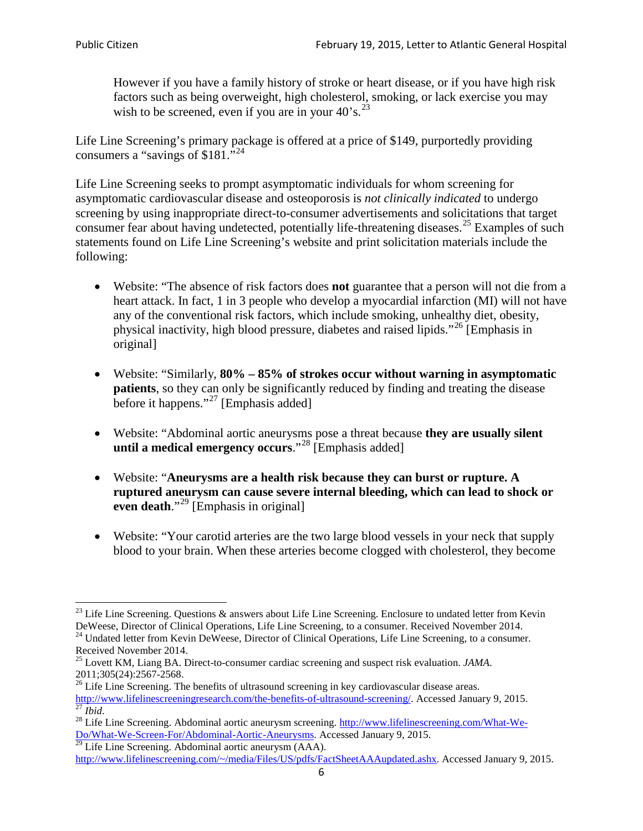However if you have a family history of stroke or heart disease, or if you have high risk factors such as being overweight, high cholesterol, smoking, or lack exercise you may wish to be screened, even if you are in your  $40^{\circ}$ s.<sup>[23](#page-5-0)</sup>

Life Line Screening's primary package is offered at a price of \$149, purportedly providing consumers a "savings of \$181."[24](#page-5-1)

Life Line Screening seeks to prompt asymptomatic individuals for whom screening for asymptomatic cardiovascular disease and osteoporosis is *not clinically indicated* to undergo screening by using inappropriate direct-to-consumer advertisements and solicitations that target consumer fear about having undetected, potentially life-threatening diseases.<sup>[25](#page-5-2)</sup> Examples of such statements found on Life Line Screening's website and print solicitation materials include the following:

- Website: "The absence of risk factors does **not** guarantee that a person will not die from a heart attack. In fact, 1 in 3 people who develop a myocardial infarction (MI) will not have any of the conventional risk factors, which include smoking, unhealthy diet, obesity, physical inactivity, high blood pressure, diabetes and raised lipids."[26](#page-5-3) [Emphasis in original]
- Website: "Similarly, **80% – 85% of strokes occur without warning in asymptomatic patients**, so they can only be significantly reduced by finding and treating the disease before it happens."<sup>[27](#page-5-4)</sup> [Emphasis added]
- Website: "Abdominal aortic aneurysms pose a threat because **they are usually silent until a medical emergency occurs**."[28](#page-5-5) [Emphasis added]
- Website: "**Aneurysms are a health risk because they can burst or rupture. A ruptured aneurysm can cause severe internal bleeding, which can lead to shock or even death.**"<sup>[29](#page-5-6)</sup> [Emphasis in original]
- Website: "Your carotid arteries are the two large blood vessels in your neck that supply blood to your brain. When these arteries become clogged with cholesterol, they become

<span id="page-5-0"></span><sup>&</sup>lt;sup>23</sup> Life Line Screening. Questions  $\&$  answers about Life Line Screening. Enclosure to undated letter from Kevin DeWeese, Director of Clinical Operations, Life Line Screening, to a consumer. Received November 2014.

<span id="page-5-1"></span><sup>&</sup>lt;sup>24</sup> Undated letter from Kevin DeWeese, Director of Clinical Operations, Life Line Screening, to a consumer. Received November 2014.

<span id="page-5-2"></span><sup>25</sup> Lovett KM, Liang BA. Direct-to-consumer cardiac screening and suspect risk evaluation. *JAMA*.  $2011;305(24):2567-2568$ .<br><sup>26</sup> Life Line Screening. The benefits of ultrasound screening in key cardiovascular disease areas.

<span id="page-5-3"></span>[http://www.lifelinescreeningresearch.com/the-benefits-of-ultrasound-screening/.](http://www.lifelinescreeningresearch.com/the-benefits-of-ultrasound-screening/) Accessed January 9, 2015.<br><sup>28</sup> Life Line Screening. Abdominal aortic aneurysm screening. http://www.lifelinescreening.com/What-We-<sup>28</sup>

<span id="page-5-5"></span><span id="page-5-4"></span>[Do/What-We-Screen-For/Abdominal-Aortic-Aneurysms.](http://www.lifelinescreening.com/What-We-Do/What-We-Screen-For/Abdominal-Aortic-Aneurysms) Accessed January 9, 2015. <sup>29</sup> Life Line Screening. Abdominal aortic aneurysm (AAA).

<span id="page-5-6"></span>[http://www.lifelinescreening.com/~/media/Files/US/pdfs/FactSheetAAAupdated.ashx.](http://www.lifelinescreening.com/~/media/Files/US/pdfs/FactSheetAAAupdated.ashx) Accessed January 9, 2015.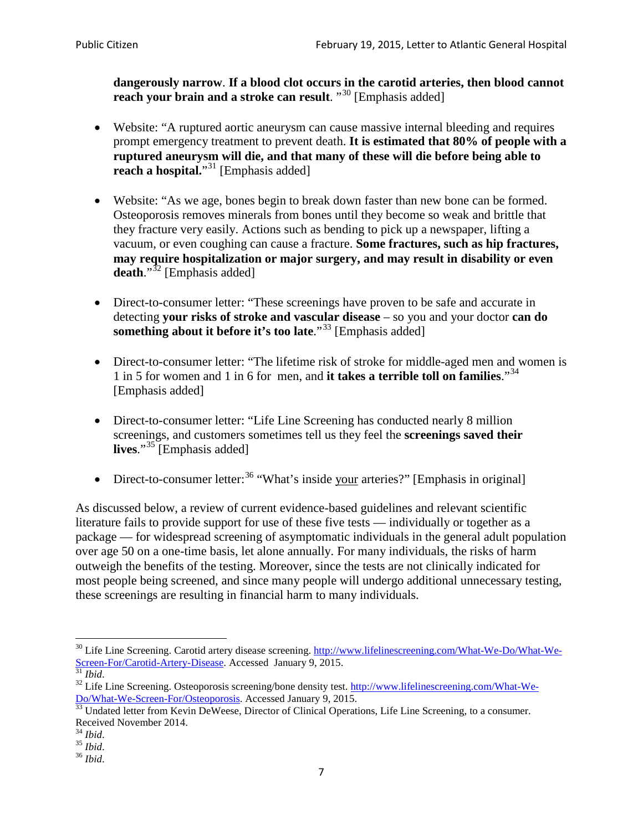**dangerously narrow**. **If a blood clot occurs in the carotid arteries, then blood cannot reach your brain and a stroke can result**. "<sup>[30](#page-6-0)</sup> [Emphasis added]

- Website: "A ruptured aortic aneurysm can cause massive internal bleeding and requires prompt emergency treatment to prevent death. **It is estimated that 80% of people with a ruptured aneurysm will die, and that many of these will die before being able to reach a hospital.**"<sup>[31](#page-6-1)</sup> [Emphasis added]
- Website: "As we age, bones begin to break down faster than new bone can be formed. Osteoporosis removes minerals from bones until they become so weak and brittle that they fracture very easily. Actions such as bending to pick up a newspaper, lifting a vacuum, or even coughing can cause a fracture. **Some fractures, such as hip fractures, may require hospitalization or major surgery, and may result in disability or even**  death."<sup>[32](#page-6-2)</sup> [Emphasis added]
- Direct-to-consumer letter: "These screenings have proven to be safe and accurate in detecting **your risks of stroke and vascular disease** – so you and your doctor **can do something about it before it's too late.**"<sup>[33](#page-6-3)</sup> [Emphasis added]
- Direct-to-consumer letter: "The lifetime risk of stroke for middle-aged men and women is 1 in 5 for women and 1 in 6 for men, and **it takes a terrible toll on families**."[34](#page-6-4) [Emphasis added]
- Direct-to-consumer letter: "Life Line Screening has conducted nearly 8 million screenings, and customers sometimes tell us they feel the **screenings saved their lives**."[35](#page-6-5) [Emphasis added]
- Direct-to-consumer letter:  $36$  "What's inside your arteries?" [Emphasis in original]

As discussed below, a review of current evidence-based guidelines and relevant scientific literature fails to provide support for use of these five tests — individually or together as a package — for widespread screening of asymptomatic individuals in the general adult population over age 50 on a one-time basis, let alone annually. For many individuals, the risks of harm outweigh the benefits of the testing. Moreover, since the tests are not clinically indicated for most people being screened, and since many people will undergo additional unnecessary testing, these screenings are resulting in financial harm to many individuals.

<span id="page-6-0"></span><sup>&</sup>lt;sup>30</sup> Life Line Screening. Carotid artery disease screening. [http://www.lifelinescreening.com/What-We-Do/What-We-](http://www.lifelinescreening.com/What-We-Do/What-We-Screen-For/Carotid-Artery-Disease)[Screen-For/Carotid-Artery-Disease.](http://www.lifelinescreening.com/What-We-Do/What-We-Screen-For/Carotid-Artery-Disease) Accessed January 9, 2015.<br><sup>31</sup> *Ibid.* 32 Life Line Screening. Osteoporosis screening/bone density test. [http://www.lifelinescreening.com/What-We-](http://www.lifelinescreening.com/What-We-Do/What-We-Screen-For/Osteoporosis)

<span id="page-6-2"></span><span id="page-6-1"></span>[Do/What-We-Screen-For/Osteoporosis.](http://www.lifelinescreening.com/What-We-Do/What-We-Screen-For/Osteoporosis) Accessed January 9, 2015. <sup>33</sup> Undated letter from Kevin DeWeese, Director of Clinical Operations, Life Line Screening, to a consumer.

<span id="page-6-3"></span>Received November 2014.<br><sup>34</sup> Ibid.

<span id="page-6-4"></span>

<span id="page-6-5"></span><sup>34</sup> *Ibid*. 35 *Ibid*. 36 *Ibid*.

<span id="page-6-6"></span>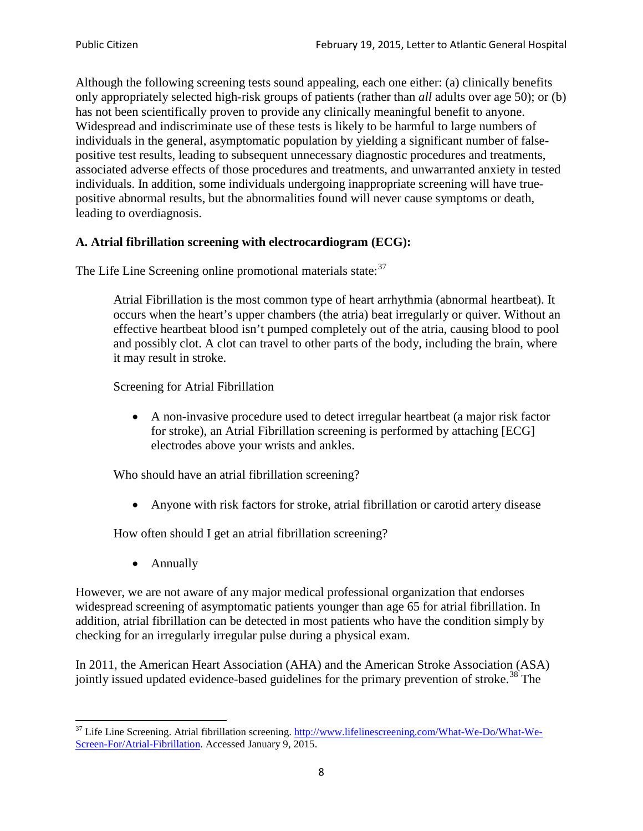Although the following screening tests sound appealing, each one either: (a) clinically benefits only appropriately selected high-risk groups of patients (rather than *all* adults over age 50); or (b) has not been scientifically proven to provide any clinically meaningful benefit to anyone. Widespread and indiscriminate use of these tests is likely to be harmful to large numbers of individuals in the general, asymptomatic population by yielding a significant number of falsepositive test results, leading to subsequent unnecessary diagnostic procedures and treatments, associated adverse effects of those procedures and treatments, and unwarranted anxiety in tested individuals. In addition, some individuals undergoing inappropriate screening will have truepositive abnormal results, but the abnormalities found will never cause symptoms or death, leading to overdiagnosis.

# **A. Atrial fibrillation screening with electrocardiogram (ECG):**

The Life Line Screening online promotional materials state:<sup>[37](#page-7-0)</sup>

Atrial Fibrillation is the most common type of heart arrhythmia (abnormal heartbeat). It occurs when the heart's upper chambers (the atria) beat irregularly or quiver. Without an effective heartbeat blood isn't pumped completely out of the atria, causing blood to pool and possibly clot. A clot can travel to other parts of the body, including the brain, where it may result in stroke.

Screening for Atrial Fibrillation

• A non-invasive procedure used to detect irregular heartbeat (a major risk factor for stroke), an Atrial Fibrillation screening is performed by attaching [ECG] electrodes above your wrists and ankles.

Who should have an atrial fibrillation screening?

• Anyone with risk factors for stroke, atrial fibrillation or carotid artery disease

How often should I get an atrial fibrillation screening?

• Annually

<span id="page-7-1"></span>However, we are not aware of any major medical professional organization that endorses widespread screening of asymptomatic patients younger than age 65 for atrial fibrillation. In addition, atrial fibrillation can be detected in most patients who have the condition simply by checking for an irregularly irregular pulse during a physical exam.

In 2011, the American Heart Association (AHA) and the American Stroke Association (ASA) jointly issued updated evidence-based guidelines for the primary prevention of stroke.<sup>[38](#page-7-1)</sup> The

<span id="page-7-0"></span><sup>&</sup>lt;sup>37</sup> Life Line Screening. Atrial fibrillation screening. [http://www.lifelinescreening.com/What-We-Do/What-We-](http://www.lifelinescreening.com/What-We-Do/What-We-Screen-For/Atrial-Fibrillation)[Screen-For/Atrial-Fibrillation.](http://www.lifelinescreening.com/What-We-Do/What-We-Screen-For/Atrial-Fibrillation) Accessed January 9, 2015.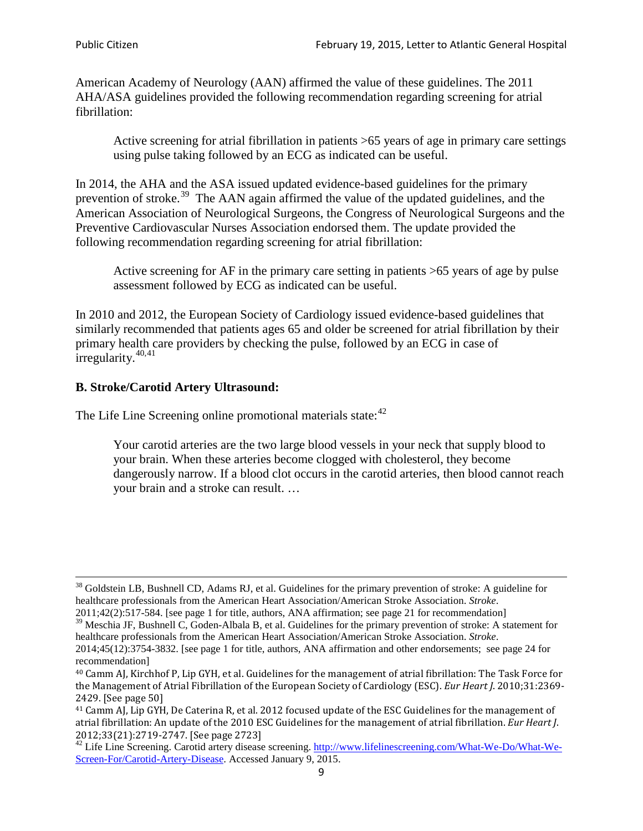American Academy of Neurology (AAN) affirmed the value of these guidelines. The 2011 AHA/ASA guidelines provided the following recommendation regarding screening for atrial fibrillation:

Active screening for atrial fibrillation in patients >65 years of age in primary care settings using pulse taking followed by an ECG as indicated can be useful.

In 2014, the AHA and the ASA issued updated evidence-based guidelines for the primary prevention of stroke.<sup>[39](#page-8-0)</sup> The AAN again affirmed the value of the updated guidelines, and the American Association of Neurological Surgeons, the Congress of Neurological Surgeons and the Preventive Cardiovascular Nurses Association endorsed them. The update provided the following recommendation regarding screening for atrial fibrillation:

Active screening for AF in the primary care setting in patients >65 years of age by pulse assessment followed by ECG as indicated can be useful.

In 2010 and 2012, the European Society of Cardiology issued evidence-based guidelines that similarly recommended that patients ages 65 and older be screened for atrial fibrillation by their primary health care providers by checking the pulse, followed by an ECG in case of irregularity. $40,41$  $40,41$ 

# **B. Stroke/Carotid Artery Ultrasound:**

The Life Line Screening online promotional materials state:<sup>[42](#page-8-3)</sup>

Your carotid arteries are the two large blood vessels in your neck that supply blood to your brain. When these arteries become clogged with cholesterol, they become dangerously narrow. If a blood clot occurs in the carotid arteries, then blood cannot reach your brain and a stroke can result. …

<sup>&</sup>lt;sup>38</sup> Goldstein LB, Bushnell CD, Adams RJ, et al. Guidelines for the primary prevention of stroke: A guideline for healthcare professionals from the American Heart Association/American Stroke Association. *Stroke*.

<sup>2011;42(2):517-584.</sup> [see page 1 for title, authors, ANA affirmation; see page 21 for recommendation]

<span id="page-8-0"></span> $\frac{2011,42(2)(317,601)}{39}$  Meschia JF, Bushnell C, Goden-Albala B, et al. Guidelines for the primary prevention of stroke: A statement for healthcare professionals from the American Heart Association/American Stroke Association. *Stroke*.

<sup>2014;45(12):3754-3832.</sup> [see page 1 for title, authors, ANA affirmation and other endorsements; see page 24 for recommendation]

<span id="page-8-1"></span><sup>40</sup> Camm AJ, Kirchhof P, Lip GYH, et al. Guidelines for the management of atrial fibrillation: The Task Force for the Management of Atrial Fibrillation of the European Society of Cardiology (ESC). *Eur Heart J*. 2010;31:2369- 2429. [See page 50]

<span id="page-8-2"></span><sup>41</sup> Camm AJ, Lip GYH, De Caterina R, et al. 2012 focused update of the ESC Guidelines for the management of atrial fibrillation: An update of the 2010 ESC Guidelines for the management of atrial fibrillation. *Eur Heart J*.

<span id="page-8-3"></span><sup>&</sup>lt;sup>2012</sup>;23(21):2719-2747. [See page 2733] 42 Life Line Screening. [http://www.lifelinescreening.com/What-We-Do/What-We-](http://www.lifelinescreening.com/What-We-Do/What-We-Screen-For/Carotid-Artery-Disease)[Screen-For/Carotid-Artery-Disease.](http://www.lifelinescreening.com/What-We-Do/What-We-Screen-For/Carotid-Artery-Disease) Accessed January 9, 2015.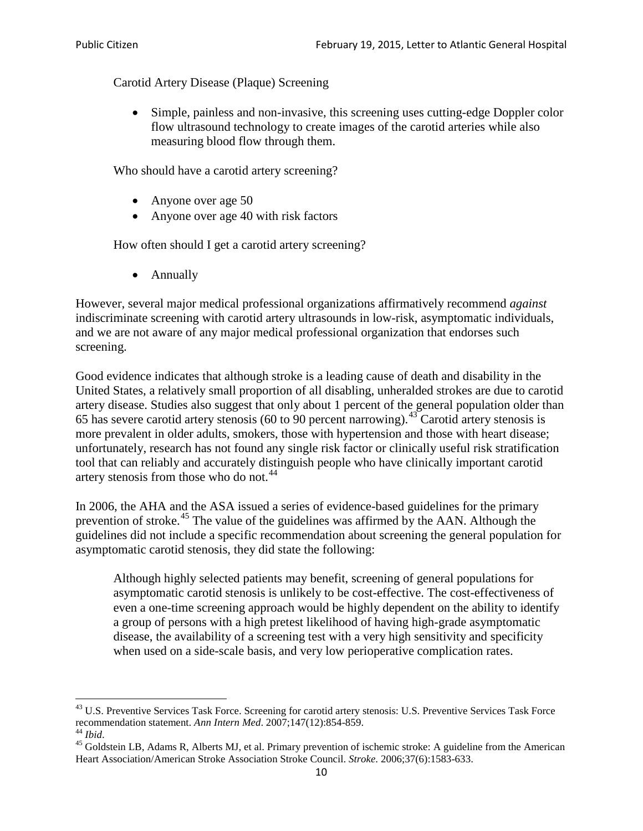Carotid Artery Disease (Plaque) Screening

• Simple, painless and non-invasive, this screening uses cutting-edge Doppler color flow ultrasound technology to create images of the carotid arteries while also measuring blood flow through them.

Who should have a carotid artery screening?

- Anyone over age 50
- Anyone over age 40 with risk factors

How often should I get a carotid artery screening?

• Annually

However, several major medical professional organizations affirmatively recommend *against* indiscriminate screening with carotid artery ultrasounds in low-risk, asymptomatic individuals, and we are not aware of any major medical professional organization that endorses such screening.

Good evidence indicates that although stroke is a leading cause of death and disability in the United States, a relatively small proportion of all disabling, unheralded strokes are due to carotid artery disease. Studies also suggest that only about 1 percent of the general population older than 65 has severe carotid artery stenosis (60 to 90 percent narrowing).<sup>[43](#page-9-0)</sup> Carotid artery stenosis is more prevalent in older adults, smokers, those with hypertension and those with heart disease; unfortunately, research has not found any single risk factor or clinically useful risk stratification tool that can reliably and accurately distinguish people who have clinically important carotid artery stenosis from those who do not.<sup>[44](#page-9-1)</sup>

In 2006, the AHA and the ASA issued a series of evidence-based guidelines for the primary prevention of stroke.<sup>[45](#page-9-2)</sup> The value of the guidelines was affirmed by the AAN. Although the guidelines did not include a specific recommendation about screening the general population for asymptomatic carotid stenosis, they did state the following:

Although highly selected patients may benefit, screening of general populations for asymptomatic carotid stenosis is unlikely to be cost-effective. The cost-effectiveness of even a one-time screening approach would be highly dependent on the ability to identify a group of persons with a high pretest likelihood of having high-grade asymptomatic disease, the availability of a screening test with a very high sensitivity and specificity when used on a side-scale basis, and very low perioperative complication rates.

<span id="page-9-0"></span> $^{43}$  U.S. Preventive Services Task Force. Screening for carotid artery stenosis: U.S. Preventive Services Task Force recommendation statement. Ann Intern Med. 2007;147(12):854-859.

<span id="page-9-2"></span><span id="page-9-1"></span><sup>&</sup>lt;sup>44</sup> *Ibid*. <sup>45</sup> Goldstein LB, Adams R, Alberts MJ, et al. Primary prevention of ischemic stroke: A guideline from the American <sup>45</sup> Goldstein LB, Adams R, Alberts MJ, et al. Primary prevention of ischemic stroke: A guide Heart Association/American Stroke Association Stroke Council. *Stroke*. 2006;37(6):1583-633.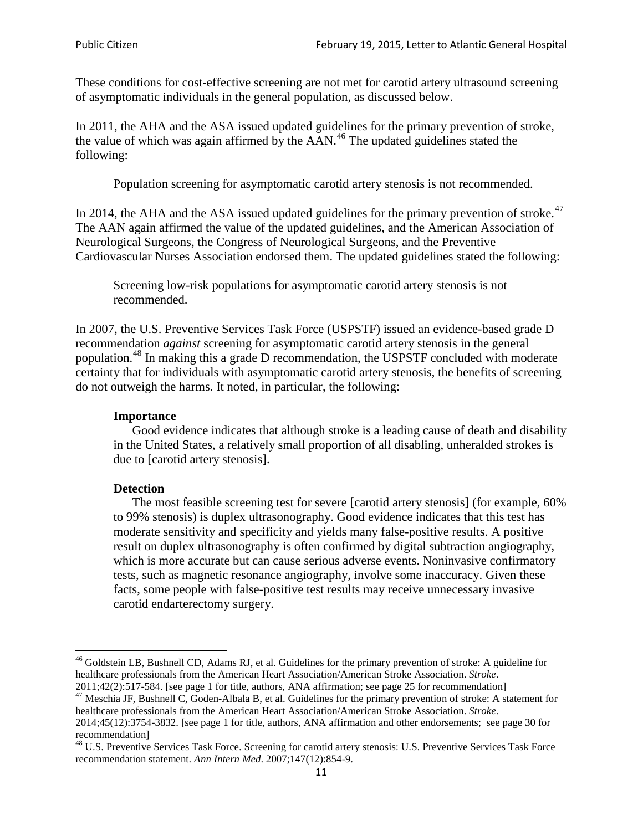These conditions for cost-effective screening are not met for carotid artery ultrasound screening of asymptomatic individuals in the general population, as discussed below.

In 2011, the AHA and the ASA issued updated guidelines for the primary prevention of stroke, the value of which was again affirmed by the  $AAN<sup>46</sup>$  $AAN<sup>46</sup>$  $AAN<sup>46</sup>$ . The updated guidelines stated the following:

Population screening for asymptomatic carotid artery stenosis is not recommended.

In 2014, the AHA and the ASA issued updated guidelines for the primary prevention of stroke.<sup>47</sup> The AAN again affirmed the value of the updated guidelines, and the American Association of Neurological Surgeons, the Congress of Neurological Surgeons, and the Preventive Cardiovascular Nurses Association endorsed them. The updated guidelines stated the following:

Screening low-risk populations for asymptomatic carotid artery stenosis is not recommended.

In 2007, the U.S. Preventive Services Task Force (USPSTF) issued an evidence-based grade D recommendation *against* screening for asymptomatic carotid artery stenosis in the general population.[48](#page-10-2) In making this a grade D recommendation, the USPSTF concluded with moderate certainty that for individuals with asymptomatic carotid artery stenosis, the benefits of screening do not outweigh the harms. It noted, in particular, the following:

#### **Importance**

Good evidence indicates that although stroke is a leading cause of death and disability in the United States, a relatively small proportion of all disabling, unheralded strokes is due to [carotid artery stenosis].

#### **Detection**

The most feasible screening test for severe [carotid artery stenosis] (for example, 60% to 99% stenosis) is duplex ultrasonography. Good evidence indicates that this test has moderate sensitivity and specificity and yields many false-positive results. A positive result on duplex ultrasonography is often confirmed by digital subtraction angiography, which is more accurate but can cause serious adverse events. Noninvasive confirmatory tests, such as magnetic resonance angiography, involve some inaccuracy. Given these facts, some people with false-positive test results may receive unnecessary invasive carotid endarterectomy surgery.

<span id="page-10-0"></span><sup>&</sup>lt;sup>46</sup> Goldstein LB, Bushnell CD, Adams RJ, et al. Guidelines for the primary prevention of stroke: A guideline for healthcare professionals from the American Heart Association/American Stroke Association. *Stroke*.<br>2011;42(2):517-584. [see page 1 for title, authors, ANA affirmation; see page 25 for recommendation]

<span id="page-10-1"></span><sup>&</sup>lt;sup>47</sup> Meschia JF, Bushnell C, Goden-Albala B, et al. Guidelines for the primary prevention of stroke: A statement for healthcare professionals from the American Heart Association/American Stroke Association. *Stroke*. 2014;45(12):3754-3832. [see page 1 for title, authors, ANA affirmation and other endorsements; see page 30 for

recommendation]

<span id="page-10-2"></span><sup>&</sup>lt;sup>48</sup> U.S. Preventive Services Task Force. Screening for carotid artery stenosis: U.S. Preventive Services Task Force recommendation statement. *Ann Intern Med*. 2007;147(12):854-9.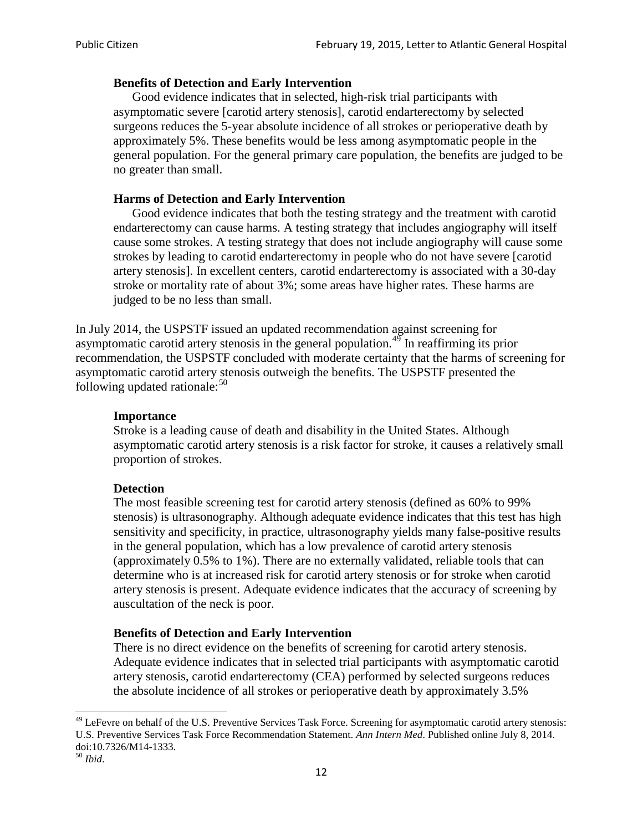### **Benefits of Detection and Early Intervention**

Good evidence indicates that in selected, high-risk trial participants with asymptomatic severe [carotid artery stenosis], carotid endarterectomy by selected surgeons reduces the 5-year absolute incidence of all strokes or perioperative death by approximately 5%. These benefits would be less among asymptomatic people in the general population. For the general primary care population, the benefits are judged to be no greater than small.

## **Harms of Detection and Early Intervention**

Good evidence indicates that both the testing strategy and the treatment with carotid endarterectomy can cause harms. A testing strategy that includes angiography will itself cause some strokes. A testing strategy that does not include angiography will cause some strokes by leading to carotid endarterectomy in people who do not have severe [carotid artery stenosis]. In excellent centers, carotid endarterectomy is associated with a 30-day stroke or mortality rate of about 3%; some areas have higher rates. These harms are judged to be no less than small.

In July 2014, the USPSTF issued an updated recommendation against screening for asymptomatic carotid artery stenosis in the general population.<sup>[49](#page-11-0)</sup> In reaffirming its prior recommendation, the USPSTF concluded with moderate certainty that the harms of screening for asymptomatic carotid artery stenosis outweigh the benefits. The USPSTF presented the following updated rationale: $50$ 

### **Importance**

Stroke is a leading cause of death and disability in the United States. Although asymptomatic carotid artery stenosis is a risk factor for stroke, it causes a relatively small proportion of strokes.

#### **Detection**

The most feasible screening test for carotid artery stenosis (defined as 60% to 99% stenosis) is ultrasonography. Although adequate evidence indicates that this test has high sensitivity and specificity, in practice, ultrasonography yields many false-positive results in the general population, which has a low prevalence of carotid artery stenosis (approximately 0.5% to 1%). There are no externally validated, reliable tools that can determine who is at increased risk for carotid artery stenosis or for stroke when carotid artery stenosis is present. Adequate evidence indicates that the accuracy of screening by auscultation of the neck is poor.

#### **Benefits of Detection and Early Intervention**

There is no direct evidence on the benefits of screening for carotid artery stenosis. Adequate evidence indicates that in selected trial participants with asymptomatic carotid artery stenosis, carotid endarterectomy (CEA) performed by selected surgeons reduces the absolute incidence of all strokes or perioperative death by approximately 3.5%

<span id="page-11-0"></span><sup>&</sup>lt;sup>49</sup> LeFevre on behalf of the U.S. Preventive Services Task Force. Screening for asymptomatic carotid artery stenosis: U.S. Preventive Services Task Force Recommendation Statement. *Ann Intern Med*. Published online July 8, 2014. doi:10.7326/M14-1333. <sup>50</sup> *Ibid*.

<span id="page-11-1"></span>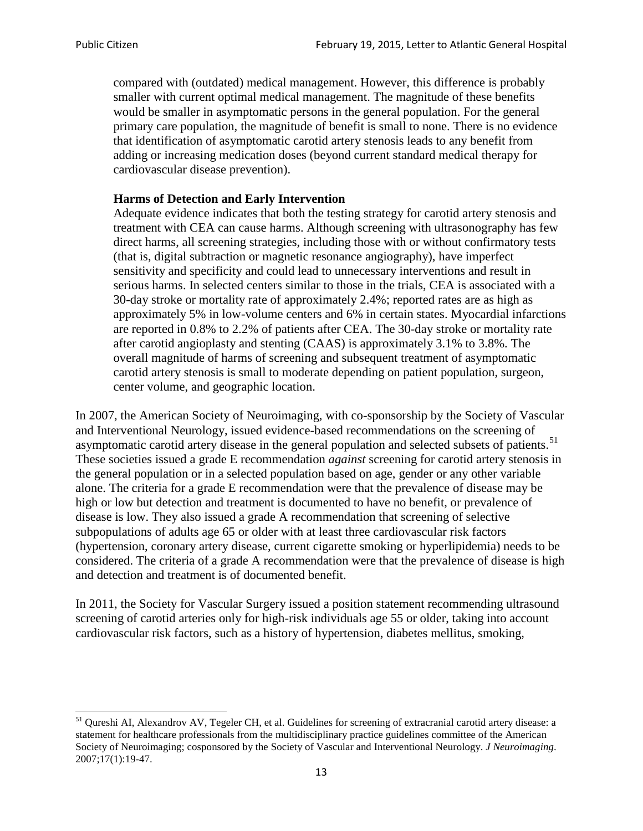compared with (outdated) medical management. However, this difference is probably smaller with current optimal medical management. The magnitude of these benefits would be smaller in asymptomatic persons in the general population. For the general primary care population, the magnitude of benefit is small to none. There is no evidence that identification of asymptomatic carotid artery stenosis leads to any benefit from adding or increasing medication doses (beyond current standard medical therapy for cardiovascular disease prevention).

# **Harms of Detection and Early Intervention**

Adequate evidence indicates that both the testing strategy for carotid artery stenosis and treatment with CEA can cause harms. Although screening with ultrasonography has few direct harms, all screening strategies, including those with or without confirmatory tests (that is, digital subtraction or magnetic resonance angiography), have imperfect sensitivity and specificity and could lead to unnecessary interventions and result in serious harms. In selected centers similar to those in the trials, CEA is associated with a 30-day stroke or mortality rate of approximately 2.4%; reported rates are as high as approximately 5% in low-volume centers and 6% in certain states. Myocardial infarctions are reported in 0.8% to 2.2% of patients after CEA. The 30-day stroke or mortality rate after carotid angioplasty and stenting (CAAS) is approximately 3.1% to 3.8%. The overall magnitude of harms of screening and subsequent treatment of asymptomatic carotid artery stenosis is small to moderate depending on patient population, surgeon, center volume, and geographic location.

In 2007, the American Society of Neuroimaging, with co-sponsorship by the Society of Vascular and Interventional Neurology, issued evidence-based recommendations on the screening of asymptomatic carotid artery disease in the general population and selected subsets of patients.<sup>[51](#page-12-0)</sup> These societies issued a grade E recommendation *against* screening for carotid artery stenosis in the general population or in a selected population based on age, gender or any other variable alone. The criteria for a grade E recommendation were that the prevalence of disease may be high or low but detection and treatment is documented to have no benefit, or prevalence of disease is low. They also issued a grade A recommendation that screening of selective subpopulations of adults age 65 or older with at least three cardiovascular risk factors (hypertension, coronary artery disease, current cigarette smoking or hyperlipidemia) needs to be considered. The criteria of a grade A recommendation were that the prevalence of disease is high and detection and treatment is of documented benefit.

In 2011, the Society for Vascular Surgery issued a position statement recommending ultrasound screening of carotid arteries only for high-risk individuals age 55 or older, taking into account cardiovascular risk factors, such as a history of hypertension, diabetes mellitus, smoking,

<span id="page-12-0"></span><sup>&</sup>lt;sup>51</sup> Qureshi AI, Alexandrov AV, Tegeler CH, et al. Guidelines for screening of extracranial carotid artery disease: a statement for healthcare professionals from the multidisciplinary practice guidelines committee of the American Society of Neuroimaging; cosponsored by the Society of Vascular and Interventional Neurology. *J Neuroimaging*. 2007;17(1):19-47.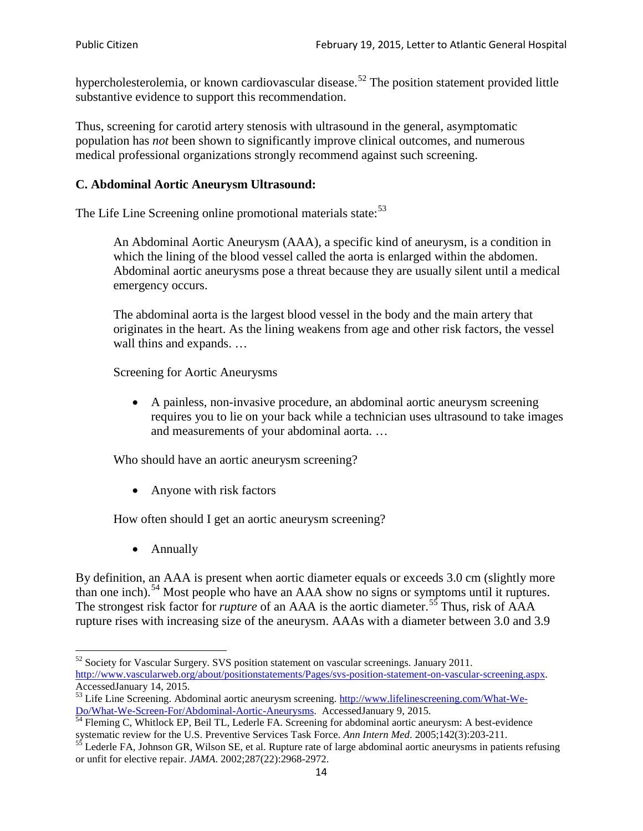hypercholesterolemia, or known cardiovascular disease.<sup>[52](#page-13-0)</sup> The position statement provided little substantive evidence to support this recommendation.

Thus, screening for carotid artery stenosis with ultrasound in the general, asymptomatic population has *not* been shown to significantly improve clinical outcomes, and numerous medical professional organizations strongly recommend against such screening.

# **C. Abdominal Aortic Aneurysm Ultrasound:**

The Life Line Screening online promotional materials state:<sup>[53](#page-13-1)</sup>

An Abdominal Aortic Aneurysm (AAA), a specific kind of aneurysm, is a condition in which the lining of the blood vessel called the aorta is enlarged within the abdomen. Abdominal aortic aneurysms pose a threat because they are usually silent until a medical emergency occurs.

The abdominal aorta is the largest blood vessel in the body and the main artery that originates in the heart. As the lining weakens from age and other risk factors, the vessel wall thins and expands. …

Screening for Aortic Aneurysms

• A painless, non-invasive procedure, an abdominal aortic aneurysm screening requires you to lie on your back while a technician uses ultrasound to take images and measurements of your abdominal aorta. …

Who should have an aortic aneurysm screening?

• Anyone with risk factors

How often should I get an aortic aneurysm screening?

• Annually

By definition, an AAA is present when aortic diameter equals or exceeds 3.0 cm (slightly more than one inch).<sup>[54](#page-13-2)</sup> Most people who have an AAA show no signs or symptoms until it ruptures. The strongest risk factor for *rupture* of an AAA is the aortic diameter.<sup>[55](#page-13-3)</sup> Thus, risk of AAA rupture rises with increasing size of the aneurysm. AAAs with a diameter between 3.0 and 3.9

<span id="page-13-0"></span><sup>&</sup>lt;sup>52</sup> Society for Vascular Surgery. SVS position statement on vascular screenings. January 2011. http://www.vascularweb.org/about/positionstatements/Pages/svs-position-statement-on-vascular-screening.aspx.<br>Accessed January 14, 2015.

<span id="page-13-1"></span>Accessed Line Screening. Abdominal aortic aneurysm screening. http://www.lifelinescreening.com/What-We-<br>Do/What-We-Screen-For/Abdominal-Aortic-Aneurysms. Accessed January 9, 2015.

<span id="page-13-2"></span> $\frac{1}{54}$  Fleming C, Whitlock EP, Beil TL, Lederle FA. Screening for abdominal aortic aneurysm: A best-evidence systematic review for the U.S. Preventive Services Task Force. *Ann Intern Med.* 2005;142(3):203-211.<br><sup>55</sup> Lederle FA, Johnson GR, Wilson SE, et al. Rupture rate of large abdominal aortic aneurysms in patients refusing

<span id="page-13-3"></span>or unfit for elective repair. *JAMA*. 2002;287(22):2968-2972.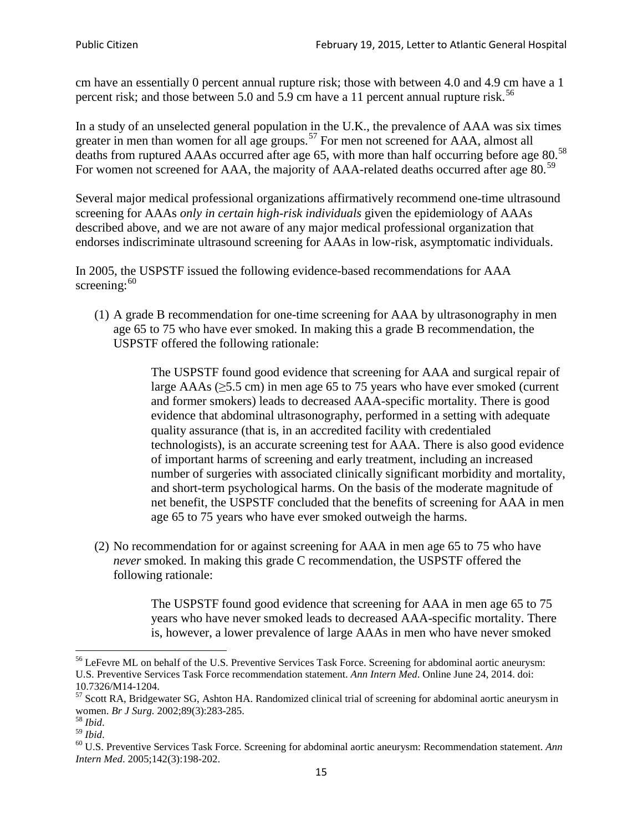cm have an essentially 0 percent annual rupture risk; those with between 4.0 and 4.9 cm have a 1 percent risk; and those between 5.0 and 5.9 cm have a 11 percent annual rupture risk.<sup>[56](#page-14-0)</sup>

In a study of an unselected general population in the U.K., the prevalence of AAA was six times greater in men than women for all age groups.<sup>[57](#page-14-1)</sup> For men not screened for  $AAA$ , almost all deaths from ruptured AAAs occurred after age 65, with more than half occurring before age 80.<sup>[58](#page-14-2)</sup> For women not screened for AAA, the majority of AAA-related deaths occurred after age 80.<sup>[59](#page-14-3)</sup>

Several major medical professional organizations affirmatively recommend one-time ultrasound screening for AAAs *only in certain high-risk individuals* given the epidemiology of AAAs described above, and we are not aware of any major medical professional organization that endorses indiscriminate ultrasound screening for AAAs in low-risk, asymptomatic individuals.

In 2005, the USPSTF issued the following evidence-based recommendations for AAA screening: $60$ 

(1) A grade B recommendation for one-time screening for AAA by ultrasonography in men age 65 to 75 who have ever smoked. In making this a grade [B recommendation,](http://www.uspreventiveservicestaskforce.org/uspstf/gradespre.htm#brec) the USPSTF offered the following rationale:

> The USPSTF found good evidence that screening for AAA and surgical repair of large AAAs ( $\geq$ 5.5 cm) in men age 65 to 75 years who have ever smoked (current and former smokers) leads to decreased AAA-specific mortality. There is good evidence that abdominal ultrasonography, performed in a setting with adequate quality assurance (that is, in an accredited facility with credentialed technologists), is an accurate screening test for AAA. There is also good evidence of important harms of screening and early treatment, including an increased number of surgeries with associated clinically significant morbidity and mortality, and short-term psychological harms. On the basis of the moderate magnitude of net benefit, the USPSTF concluded that the benefits of screening for AAA in men age 65 to 75 years who have ever smoked outweigh the harms.

(2) No recommendation for or against screening for AAA in men age 65 to 75 who have *never* smoked. In making this grade C recommendation, the USPSTF offered the following rationale:

> The USPSTF found good evidence that screening for AAA in men age 65 to 75 years who have never smoked leads to decreased AAA-specific mortality. There is, however, a lower prevalence of large AAAs in men who have never smoked

<span id="page-14-0"></span><sup>&</sup>lt;sup>56</sup> LeFevre ML on behalf of the U.S. Preventive Services Task Force. Screening for abdominal aortic aneurysm: U.S. Preventive Services Task Force recommendation statement. *Ann Intern Med*. Online June 24, 2014. doi:

<span id="page-14-1"></span><sup>10.7326/</sup>M14-1204.<br> $57$  Scott RA, Bridgewater SG, Ashton HA. Randomized clinical trial of screening for abdominal aortic aneurysm in women. *Br J Surg.* 2002;89(3):283-285.

<span id="page-14-4"></span><span id="page-14-3"></span>

<span id="page-14-2"></span><sup>&</sup>lt;sup>58</sup> *Ibid.*<br><sup>59</sup> *Ibid. Comen. Breeft Bervices Task Force. Screening for abdominal aortic aneurysm: Recommendation statement. <i>Ann* <sup>60</sup> U.S. Preventive Services Task Force. Screening for abdominal aortic aneurysm: Re *Intern Med*. 2005;142(3):198-202.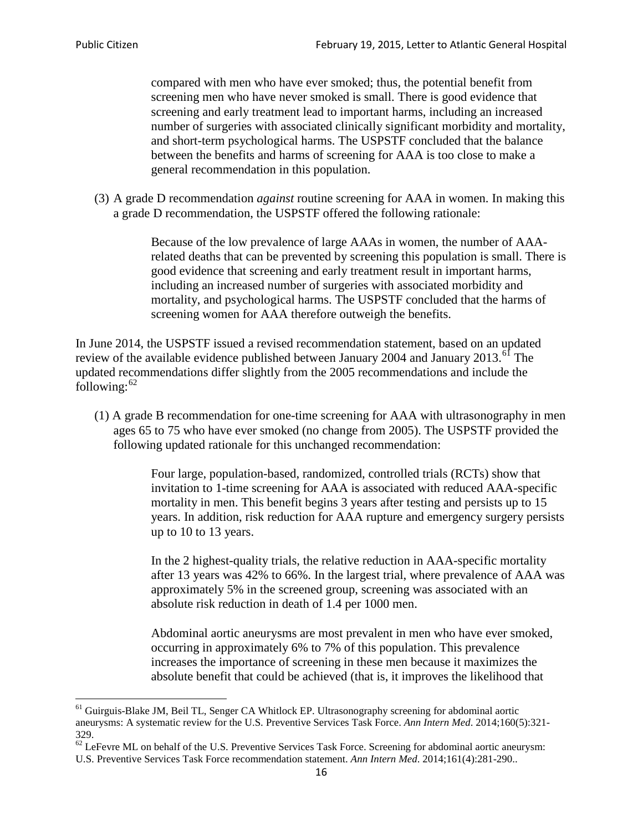compared with men who have ever smoked; thus, the potential benefit from screening men who have never smoked is small. There is good evidence that screening and early treatment lead to important harms, including an increased number of surgeries with associated clinically significant morbidity and mortality, and short-term psychological harms. The USPSTF concluded that the balance between the benefits and harms of screening for AAA is too close to make a general recommendation in this population.

(3) A grade D recommendation *against* routine screening for AAA in women. In making this a grade D recommendation, the USPSTF offered the following rationale:

> Because of the low prevalence of large AAAs in women, the number of AAArelated deaths that can be prevented by screening this population is small. There is good evidence that screening and early treatment result in important harms, including an increased number of surgeries with associated morbidity and mortality, and psychological harms. The USPSTF concluded that the harms of screening women for AAA therefore outweigh the benefits.

In June 2014, the USPSTF issued a revised recommendation statement, based on an updated review of the available evidence published between January 2004 and January 2013.<sup>[61](#page-15-0)</sup> The updated recommendations differ slightly from the 2005 recommendations and include the following: $62$ 

(1) A grade B recommendation for one-time screening for AAA with ultrasonography in men ages 65 to 75 who have ever smoked (no change from 2005). The USPSTF provided the following updated rationale for this unchanged recommendation:

> Four large, population-based, randomized, controlled trials (RCTs) show that invitation to 1-time screening for AAA is associated with reduced AAA-specific mortality in men. This benefit begins 3 years after testing and persists up to 15 years. In addition, risk reduction for AAA rupture and emergency surgery persists up to 10 to 13 years.

> In the 2 highest-quality trials, the relative reduction in AAA-specific mortality after 13 years was 42% to 66%. In the largest trial, where prevalence of AAA was approximately 5% in the screened group, screening was associated with an absolute risk reduction in death of 1.4 per 1000 men.

Abdominal aortic aneurysms are most prevalent in men who have ever smoked, occurring in approximately 6% to 7% of this population. This prevalence increases the importance of screening in these men because it maximizes the absolute benefit that could be achieved (that is, it improves the likelihood that

<span id="page-15-0"></span><sup>61</sup> Guirguis-Blake JM, Beil TL, Senger CA Whitlock EP. Ultrasonography screening for abdominal aortic aneurysms: A systematic review for the U.S. Preventive Services Task Force. *Ann Intern Med*. 2014;160(5):321- 329.

<span id="page-15-1"></span> $62$  LeFevre ML on behalf of the U.S. Preventive Services Task Force. Screening for abdominal aortic aneurysm: U.S. Preventive Services Task Force recommendation statement. *Ann Intern Med*. 2014;161(4):281-290..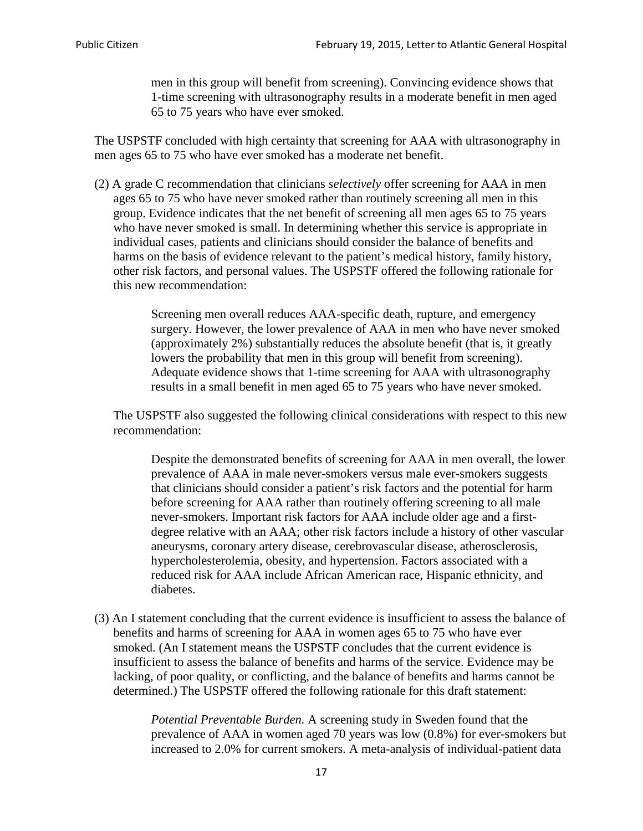men in this group will benefit from screening). Convincing evidence shows that 1-time screening with ultrasonography results in a moderate benefit in men aged 65 to 75 years who have ever smoked.

The USPSTF concluded with high certainty that screening for AAA with ultrasonography in men ages 65 to 75 who have ever smoked has a moderate net benefit.

(2) A grade C recommendation that clinicians *selectively* offer screening for AAA in men ages 65 to 75 who have never smoked rather than routinely screening all men in this group. Evidence indicates that the net benefit of screening all men ages 65 to 75 years who have never smoked is small. In determining whether this service is appropriate in individual cases, patients and clinicians should consider the balance of benefits and harms on the basis of evidence relevant to the patient's medical history, family history, other risk factors, and personal values. The USPSTF offered the following rationale for this new recommendation:

> Screening men overall reduces AAA-specific death, rupture, and emergency surgery. However, the lower prevalence of AAA in men who have never smoked (approximately 2%) substantially reduces the absolute benefit (that is, it greatly lowers the probability that men in this group will benefit from screening). Adequate evidence shows that 1-time screening for AAA with ultrasonography results in a small benefit in men aged 65 to 75 years who have never smoked.

The USPSTF also suggested the following clinical considerations with respect to this new recommendation:

Despite the demonstrated benefits of screening for AAA in men overall, the lower prevalence of AAA in male never-smokers versus male ever-smokers suggests that clinicians should consider a patient's risk factors and the potential for harm before screening for AAA rather than routinely offering screening to all male never-smokers. Important risk factors for AAA include older age and a firstdegree relative with an AAA; other risk factors include a history of other vascular aneurysms, coronary artery disease, cerebrovascular disease, atherosclerosis, hypercholesterolemia, obesity, and hypertension. Factors associated with a reduced risk for AAA include African American race, Hispanic ethnicity, and diabetes.

(3) An I statement concluding that the current evidence is insufficient to assess the balance of benefits and harms of screening for AAA in women ages 65 to 75 who have ever smoked. (An I statement means the USPSTF concludes that the current evidence is insufficient to assess the balance of benefits and harms of the service. Evidence may be lacking, of poor quality, or conflicting, and the balance of benefits and harms cannot be determined.) The USPSTF offered the following rationale for this draft statement:

> *Potential Preventable Burden.* A screening study in Sweden found that the prevalence of AAA in women aged 70 years was low (0.8%) for ever-smokers but increased to 2.0% for current smokers. A meta-analysis of individual-patient data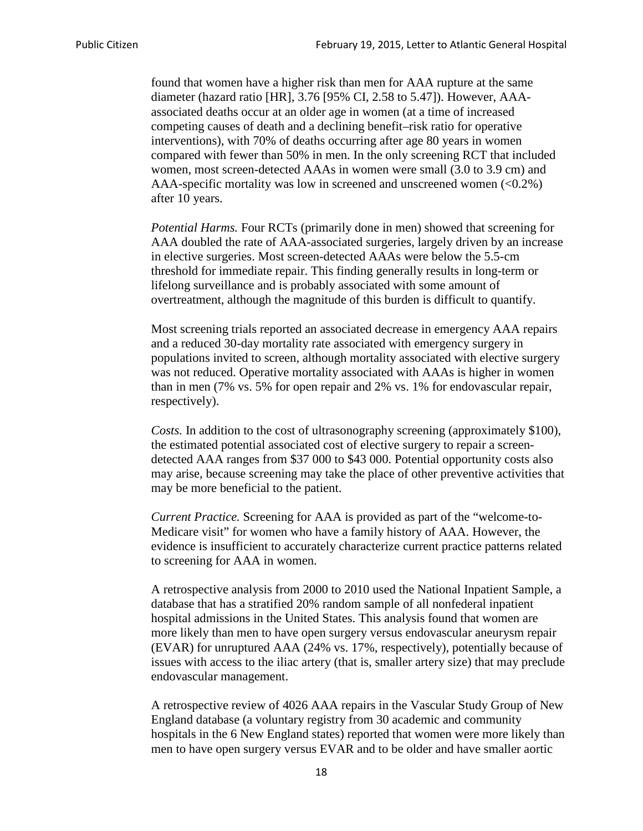found that women have a higher risk than men for AAA rupture at the same diameter (hazard ratio [HR], 3.76 [95% CI, 2.58 to 5.47]). However, AAAassociated deaths occur at an older age in women (at a time of increased competing causes of death and a declining benefit–risk ratio for operative interventions), with 70% of deaths occurring after age 80 years in women compared with fewer than 50% in men. In the only screening RCT that included women, most screen-detected AAAs in women were small (3.0 to 3.9 cm) and AAA-specific mortality was low in screened and unscreened women  $(<0.2\%)$ after 10 years.

*Potential Harms.* Four RCTs (primarily done in men) showed that screening for AAA doubled the rate of AAA-associated surgeries, largely driven by an increase in elective surgeries. Most screen-detected AAAs were below the 5.5-cm threshold for immediate repair. This finding generally results in long-term or lifelong surveillance and is probably associated with some amount of overtreatment, although the magnitude of this burden is difficult to quantify.

Most screening trials reported an associated decrease in emergency AAA repairs and a reduced 30-day mortality rate associated with emergency surgery in populations invited to screen, although mortality associated with elective surgery was not reduced. Operative mortality associated with AAAs is higher in women than in men (7% vs. 5% for open repair and 2% vs. 1% for endovascular repair, respectively).

*Costs.* In addition to the cost of ultrasonography screening (approximately \$100), the estimated potential associated cost of elective surgery to repair a screendetected AAA ranges from \$37 000 to \$43 000. Potential opportunity costs also may arise, because screening may take the place of other preventive activities that may be more beneficial to the patient.

*Current Practice.* Screening for AAA is provided as part of the "welcome-to-Medicare visit" for women who have a family history of AAA. However, the evidence is insufficient to accurately characterize current practice patterns related to screening for AAA in women.

A retrospective analysis from 2000 to 2010 used the National Inpatient Sample, a database that has a stratified 20% random sample of all nonfederal inpatient hospital admissions in the United States. This analysis found that women are more likely than men to have open surgery versus endovascular aneurysm repair (EVAR) for unruptured AAA (24% vs. 17%, respectively), potentially because of issues with access to the iliac artery (that is, smaller artery size) that may preclude endovascular management.

A retrospective review of 4026 AAA repairs in the Vascular Study Group of New England database (a voluntary registry from 30 academic and community hospitals in the 6 New England states) reported that women were more likely than men to have open surgery versus EVAR and to be older and have smaller aortic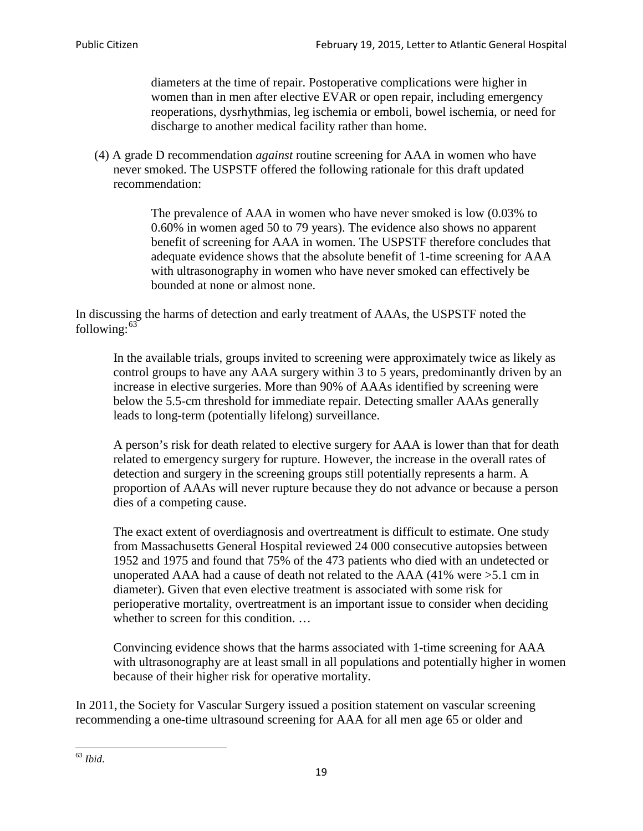diameters at the time of repair. Postoperative complications were higher in women than in men after elective EVAR or open repair, including emergency reoperations, dysrhythmias, leg ischemia or emboli, bowel ischemia, or need for discharge to another medical facility rather than home.

(4) A grade D recommendation *against* routine screening for AAA in women who have never smoked. The USPSTF offered the following rationale for this draft updated recommendation:

> The prevalence of AAA in women who have never smoked is low (0.03% to 0.60% in women aged 50 to 79 years). The evidence also shows no apparent benefit of screening for AAA in women. The USPSTF therefore concludes that adequate evidence shows that the absolute benefit of 1-time screening for AAA with ultrasonography in women who have never smoked can effectively be bounded at none or almost none.

In discussing the harms of detection and early treatment of AAAs, the USPSTF noted the following: $63$ 

In the available trials, groups invited to screening were approximately twice as likely as control groups to have any AAA surgery within 3 to 5 years, predominantly driven by an increase in elective surgeries. More than 90% of AAAs identified by screening were below the 5.5-cm threshold for immediate repair. Detecting smaller AAAs generally leads to long-term (potentially lifelong) surveillance.

A person's risk for death related to elective surgery for AAA is lower than that for death related to emergency surgery for rupture. However, the increase in the overall rates of detection and surgery in the screening groups still potentially represents a harm. A proportion of AAAs will never rupture because they do not advance or because a person dies of a competing cause.

The exact extent of overdiagnosis and overtreatment is difficult to estimate. One study from Massachusetts General Hospital reviewed 24 000 consecutive autopsies between 1952 and 1975 and found that 75% of the 473 patients who died with an undetected or unoperated AAA had a cause of death not related to the AAA (41% were >5.1 cm in diameter). Given that even elective treatment is associated with some risk for perioperative mortality, overtreatment is an important issue to consider when deciding whether to screen for this condition....

Convincing evidence shows that the harms associated with 1-time screening for AAA with ultrasonography are at least small in all populations and potentially higher in women because of their higher risk for operative mortality.

In 2011, the Society for Vascular Surgery issued a position statement on vascular screening recommending a one-time ultrasound screening for AAA for all men age 65 or older and

<span id="page-18-0"></span><sup>63</sup> *Ibid*.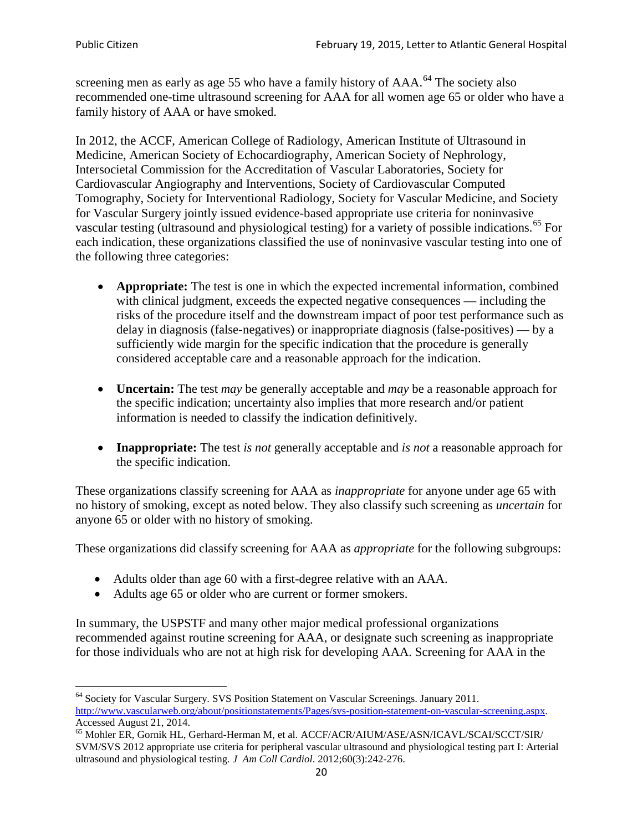screening men as early as age 55 who have a family history of AAA.<sup>[64](#page-19-0)</sup> The society also recommended one-time ultrasound screening for AAA for all women age 65 or older who have a family history of AAA or have smoked.

In 2012, the ACCF, American College of Radiology, American Institute of Ultrasound in Medicine, American Society of Echocardiography, American Society of Nephrology, Intersocietal Commission for the Accreditation of Vascular Laboratories, Society for Cardiovascular Angiography and Interventions, Society of Cardiovascular Computed Tomography, Society for Interventional Radiology, Society for Vascular Medicine, and Society for Vascular Surgery jointly issued evidence-based appropriate use criteria for noninvasive vascular testing (ultrasound and physiological testing) for a variety of possible indications.<sup>[65](#page-19-1)</sup> For each indication, these organizations classified the use of noninvasive vascular testing into one of the following three categories:

- **Appropriate:** The test is one in which the expected incremental information, combined with clinical judgment, exceeds the expected negative consequences — including the risks of the procedure itself and the downstream impact of poor test performance such as delay in diagnosis (false-negatives) or inappropriate diagnosis (false-positives) — by a sufficiently wide margin for the specific indication that the procedure is generally considered acceptable care and a reasonable approach for the indication.
- **Uncertain:** The test *may* be generally acceptable and *may* be a reasonable approach for the specific indication; uncertainty also implies that more research and/or patient information is needed to classify the indication definitively.
- **Inappropriate:** The test *is not* generally acceptable and *is not* a reasonable approach for the specific indication.

These organizations classify screening for AAA as *inappropriate* for anyone under age 65 with no history of smoking, except as noted below. They also classify such screening as *uncertain* for anyone 65 or older with no history of smoking.

These organizations did classify screening for AAA as *appropriate* for the following subgroups:

- Adults older than age 60 with a first-degree relative with an AAA.
- Adults age 65 or older who are current or former smokers.

In summary, the USPSTF and many other major medical professional organizations recommended against routine screening for AAA, or designate such screening as inappropriate for those individuals who are not at high risk for developing AAA. Screening for AAA in the

<span id="page-19-0"></span><sup>64</sup> Society for Vascular Surgery. SVS Position Statement on Vascular Screenings. January 2011. [http://www.vascularweb.org/about/positionstatements/Pages/svs-position-statement-on-vascular-screening.aspx.](http://www.vascularweb.org/about/positionstatements/Pages/svs-position-statement-on-vascular-screening.aspx) 

<span id="page-19-1"></span>Accessed August 21, 2014.<br><sup>65</sup> Mohler ER, Gornik HL, Gerhard-Herman M, et al. ACCF/ACR/AIUM/ASE/ASN/ICAVL/SCAI/SCCT/SIR/ SVM/SVS 2012 appropriate use criteria for peripheral vascular ultrasound and physiological testing part I: Arterial ultrasound and physiological testing*. J Am Coll Cardiol*. 2012;60(3):242-276.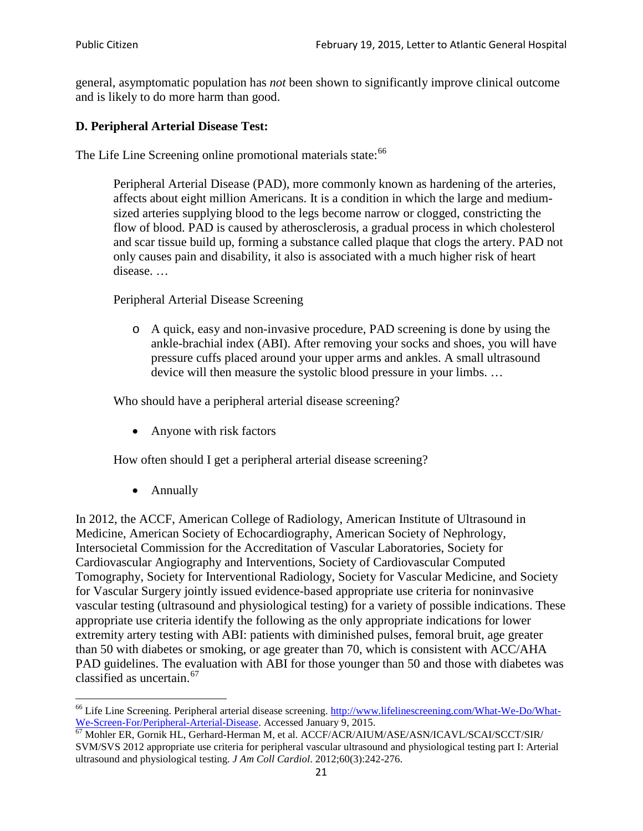general, asymptomatic population has *not* been shown to significantly improve clinical outcome and is likely to do more harm than good.

# **D. Peripheral Arterial Disease Test:**

The Life Line Screening online promotional materials state:<sup>[66](#page-20-0)</sup>

Peripheral Arterial Disease (PAD), more commonly known as hardening of the arteries, affects about eight million Americans. It is a condition in which the large and mediumsized arteries supplying blood to the legs become narrow or clogged, constricting the flow of blood. PAD is caused by atherosclerosis, a gradual process in which cholesterol and scar tissue build up, forming a substance called plaque that clogs the artery. PAD not only causes pain and disability, it also is associated with a much higher risk of heart disease. …

Peripheral Arterial Disease Screening

o A quick, easy and non-invasive procedure, PAD screening is done by using the ankle-brachial index (ABI). After removing your socks and shoes, you will have pressure cuffs placed around your upper arms and ankles. A small ultrasound device will then measure the systolic blood pressure in your limbs. …

Who should have a peripheral arterial disease screening?

• Anyone with risk factors

How often should I get a peripheral arterial disease screening?

• Annually

In 2012, the ACCF, American College of Radiology, American Institute of Ultrasound in Medicine, American Society of Echocardiography, American Society of Nephrology, Intersocietal Commission for the Accreditation of Vascular Laboratories, Society for Cardiovascular Angiography and Interventions, Society of Cardiovascular Computed Tomography, Society for Interventional Radiology, Society for Vascular Medicine, and Society for Vascular Surgery jointly issued evidence-based appropriate use criteria for noninvasive vascular testing (ultrasound and physiological testing) for a variety of possible indications. These appropriate use criteria identify the following as the only appropriate indications for lower extremity artery testing with ABI: patients with diminished pulses, femoral bruit, age greater than 50 with diabetes or smoking, or age greater than 70, which is consistent with ACC/AHA PAD guidelines. The evaluation with ABI for those younger than 50 and those with diabetes was classified as uncertain.<sup>[67](#page-20-1)</sup>

<span id="page-20-0"></span><sup>&</sup>lt;sup>66</sup> Life Line Screening. Peripheral arterial disease screening. [http://www.lifelinescreening.com/What-We-Do/What-](http://www.lifelinescreening.com/What-We-Do/What-We-Screen-For/Peripheral-Arterial-Disease)[We-Screen-For/Peripheral-Arterial-Disease.](http://www.lifelinescreening.com/What-We-Do/What-We-Screen-For/Peripheral-Arterial-Disease) Accessed January 9, 2015.<br><sup>67</sup> Mohler ER, Gornik HL, Gerhard-Herman M, et al. ACCF/ACR/AIUM/ASE/ASN/ICAVL/SCAI/SCCT/SIR/

<span id="page-20-1"></span>SVM/SVS 2012 appropriate use criteria for peripheral vascular ultrasound and physiological testing part I: Arterial ultrasound and physiological testing. *J Am Coll Cardiol*. 2012;60(3):242-276.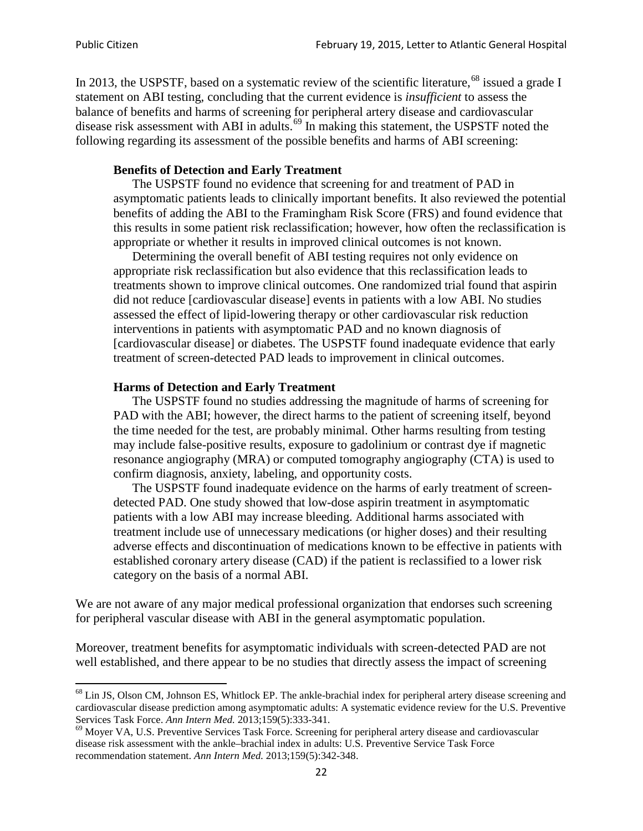In 2013, the USPSTF, based on a systematic review of the scientific literature,<sup>[68](#page-21-0)</sup> issued a grade I statement on ABI testing, concluding that the current evidence is *insufficient* to assess the balance of benefits and harms of screening for peripheral artery disease and cardiovascular disease risk assessment with ABI in adults.<sup>[69](#page-21-1)</sup> In making this statement, the USPSTF noted the following regarding its assessment of the possible benefits and harms of ABI screening:

## **Benefits of Detection and Early Treatment**

The USPSTF found no evidence that screening for and treatment of PAD in asymptomatic patients leads to clinically important benefits. It also reviewed the potential benefits of adding the ABI to the Framingham Risk Score (FRS) and found evidence that this results in some patient risk reclassification; however, how often the reclassification is appropriate or whether it results in improved clinical outcomes is not known.

Determining the overall benefit of ABI testing requires not only evidence on appropriate risk reclassification but also evidence that this reclassification leads to treatments shown to improve clinical outcomes. One randomized trial found that aspirin did not reduce [cardiovascular disease] events in patients with a low ABI. No studies assessed the effect of lipid-lowering therapy or other cardiovascular risk reduction interventions in patients with asymptomatic PAD and no known diagnosis of [cardiovascular disease] or diabetes. The USPSTF found inadequate evidence that early treatment of screen-detected PAD leads to improvement in clinical outcomes.

### **Harms of Detection and Early Treatment**

The USPSTF found no studies addressing the magnitude of harms of screening for PAD with the ABI; however, the direct harms to the patient of screening itself, beyond the time needed for the test, are probably minimal. Other harms resulting from testing may include false-positive results, exposure to gadolinium or contrast dye if magnetic resonance angiography (MRA) or computed tomography angiography (CTA) is used to confirm diagnosis, anxiety, labeling, and opportunity costs.

The USPSTF found inadequate evidence on the harms of early treatment of screendetected PAD. One study showed that low-dose aspirin treatment in asymptomatic patients with a low ABI may increase bleeding. Additional harms associated with treatment include use of unnecessary medications (or higher doses) and their resulting adverse effects and discontinuation of medications known to be effective in patients with established coronary artery disease (CAD) if the patient is reclassified to a lower risk category on the basis of a normal ABI.

We are not aware of any major medical professional organization that endorses such screening for peripheral vascular disease with ABI in the general asymptomatic population.

Moreover, treatment benefits for asymptomatic individuals with screen-detected PAD are not well established, and there appear to be no studies that directly assess the impact of screening

<span id="page-21-0"></span><sup>&</sup>lt;sup>68</sup> Lin JS, Olson CM, Johnson ES, Whitlock EP. The ankle-brachial index for peripheral artery disease screening and cardiovascular disease prediction among asymptomatic adults: A systematic evidence review for the U.S. Preventive Services Task Force. *Ann Intern Med.* 2013;159(5):333-341.<br><sup>69</sup> Moyer VA, U.S. Preventive Services Task Force. Screening for peripheral artery disease and cardiovascular

<span id="page-21-1"></span>disease risk assessment with the ankle–brachial index in adults: U.S. Preventive Service Task Force recommendation statement. *Ann Intern Med.* 2013;159(5):342-348.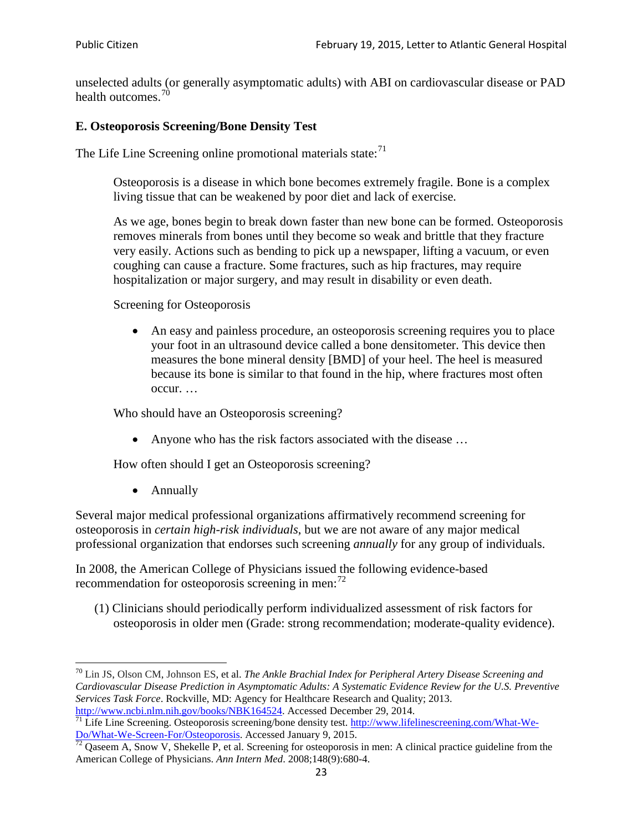unselected adults (or generally asymptomatic adults) with ABI on cardiovascular disease or PAD health outcomes.<sup>[70](#page-22-0)</sup>

# **E. Osteoporosis Screening/Bone Density Test**

The Life Line Screening online promotional materials state: $71$ 

Osteoporosis is a disease in which bone becomes extremely fragile. Bone is a complex living tissue that can be weakened by poor diet and lack of exercise.

As we age, bones begin to break down faster than new bone can be formed. Osteoporosis removes minerals from bones until they become so weak and brittle that they fracture very easily. Actions such as bending to pick up a newspaper, lifting a vacuum, or even coughing can cause a fracture. Some fractures, such as hip fractures, may require hospitalization or major surgery, and may result in disability or even death.

Screening for Osteoporosis

• An easy and painless procedure, an osteoporosis screening requires you to place your foot in an ultrasound device called a bone densitometer. This device then measures the bone mineral density [BMD] of your heel. The heel is measured because its bone is similar to that found in the hip, where fractures most often occur. …

Who should have an Osteoporosis screening?

• Anyone who has the risk factors associated with the disease ...

How often should I get an Osteoporosis screening?

• Annually

Several major medical professional organizations affirmatively recommend screening for osteoporosis in *certain high-risk individuals*, but we are not aware of any major medical professional organization that endorses such screening *annually* for any group of individuals.

In 2008, the American College of Physicians issued the following evidence-based recommendation for osteoporosis screening in men: $^{72}$  $^{72}$  $^{72}$ 

(1) Clinicians should periodically perform individualized assessment of risk factors for osteoporosis in older men (Grade: strong recommendation; moderate-quality evidence).

<span id="page-22-0"></span><sup>70</sup> [Lin JS,](http://www.ncbi.nlm.nih.gov/pubmed?term=Lin%20JS%5BAuthor%5D&cauthor=true&cauthor_uid=24156115) [Olson CM,](http://www.ncbi.nlm.nih.gov/pubmed?term=Olson%20CM%5BAuthor%5D&cauthor=true&cauthor_uid=24156115) [Johnson ES,](http://www.ncbi.nlm.nih.gov/pubmed?term=Johnson%20ES%5BAuthor%5D&cauthor=true&cauthor_uid=24156115) et al. *The Ankle Brachial Index for Peripheral Artery Disease Screening and Cardiovascular Disease Prediction in Asymptomatic Adults: A Systematic Evidence Review for the U.S. Preventive Services Task Force*. Rockville, MD: Agency for Healthcare Research and Quality; 2013.<br>http://www.ncbi.nlm.nih.gov/books/NBK164524. Accessed December 29, 2014.

<span id="page-22-1"></span> $\frac{1}{71}$  Life Line Screening. Osteoporosis screening/bone density test. [http://www.lifelinescreening.com/What-We-](http://www.lifelinescreening.com/What-We-Do/What-We-Screen-For/Osteoporosis) $\underline{Do/What-We-Screen-For/Osteoporosis}$ . Accessed January 9, 2015.<br><sup>72</sup> Qaseem A, Snow V, Shekelle P, et al. Screening for osteoporosis in men: A clinical practice guideline from the

<span id="page-22-2"></span>American College of Physicians. *Ann Intern Med*. 2008;148(9):680-4.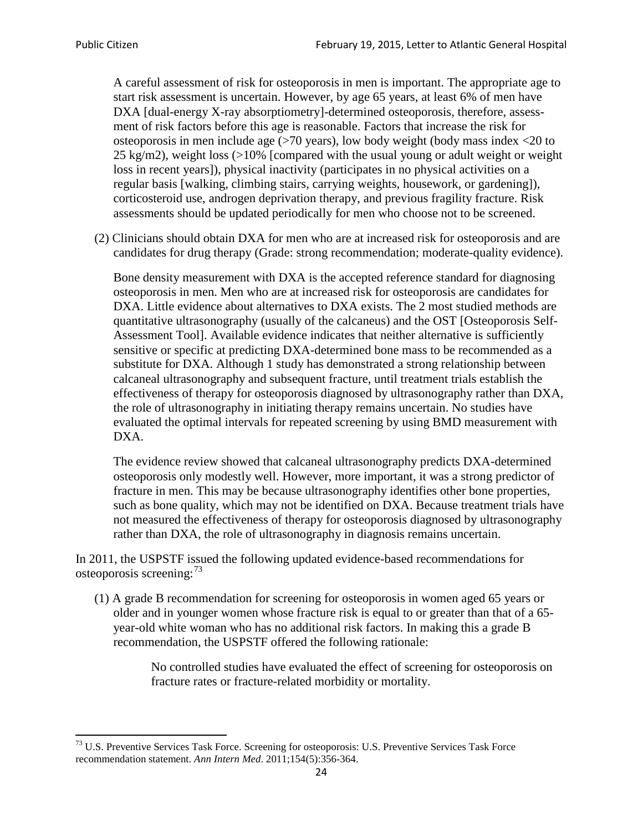A careful assessment of risk for osteoporosis in men is important. The appropriate age to start risk assessment is uncertain. However, by age 65 years, at least 6% of men have DXA [dual-energy X-ray absorptiometry]-determined osteoporosis, therefore, assessment of risk factors before this age is reasonable. Factors that increase the risk for osteoporosis in men include age (>70 years), low body weight (body mass index <20 to 25 kg/m2), weight loss  $\langle$  >10% [compared with the usual young or adult weight or weight loss in recent years]), physical inactivity (participates in no physical activities on a regular basis [walking, climbing stairs, carrying weights, housework, or gardening]), corticosteroid use, androgen deprivation therapy, and previous fragility fracture. Risk assessments should be updated periodically for men who choose not to be screened.

(2) Clinicians should obtain DXA for men who are at increased risk for osteoporosis and are candidates for drug therapy (Grade: strong recommendation; moderate-quality evidence).

Bone density measurement with DXA is the accepted reference standard for diagnosing osteoporosis in men. Men who are at increased risk for osteoporosis are candidates for DXA. Little evidence about alternatives to DXA exists. The 2 most studied methods are quantitative ultrasonography (usually of the calcaneus) and the OST [Osteoporosis Self-Assessment Tool]. Available evidence indicates that neither alternative is sufficiently sensitive or specific at predicting DXA-determined bone mass to be recommended as a substitute for DXA. Although 1 study has demonstrated a strong relationship between calcaneal ultrasonography and subsequent fracture, until treatment trials establish the effectiveness of therapy for osteoporosis diagnosed by ultrasonography rather than DXA, the role of ultrasonography in initiating therapy remains uncertain. No studies have evaluated the optimal intervals for repeated screening by using BMD measurement with DXA.

The evidence review showed that calcaneal ultrasonography predicts DXA-determined osteoporosis only modestly well. However, more important, it was a strong predictor of fracture in men. This may be because ultrasonography identifies other bone properties, such as bone quality, which may not be identified on DXA. Because treatment trials have not measured the effectiveness of therapy for osteoporosis diagnosed by ultrasonography rather than DXA, the role of ultrasonography in diagnosis remains uncertain.

In 2011, the USPSTF issued the following updated evidence-based recommendations for osteoporosis screening:<sup>[73](#page-23-0)</sup>

(1) A grade B recommendation for screening for osteoporosis in women aged 65 years or older and in younger women whose fracture risk is equal to or greater than that of a 65 year-old white woman who has no additional risk factors. In making this a grade B recommendation, the USPSTF offered the following rationale:

> No controlled studies have evaluated the effect of screening for osteoporosis on fracture rates or fracture-related morbidity or mortality.

<span id="page-23-0"></span><sup>&</sup>lt;sup>73</sup> U.S. Preventive Services Task Force. Screening for osteoporosis: U.S. Preventive Services Task Force recommendation statement. *Ann Intern Med*. 2011;154(5):356-364.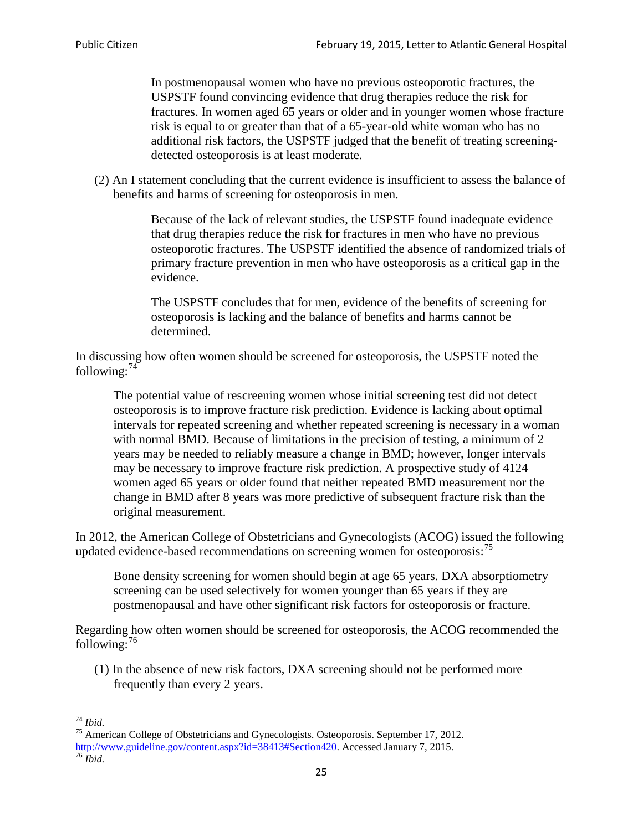In postmenopausal women who have no previous osteoporotic fractures, the USPSTF found convincing evidence that drug therapies reduce the risk for fractures. In women aged 65 years or older and in younger women whose fracture risk is equal to or greater than that of a 65-year-old white woman who has no additional risk factors, the USPSTF judged that the benefit of treating screeningdetected osteoporosis is at least moderate.

(2) An I statement concluding that the current evidence is insufficient to assess the balance of benefits and harms of screening for osteoporosis in men.

> Because of the lack of relevant studies, the USPSTF found inadequate evidence that drug therapies reduce the risk for fractures in men who have no previous osteoporotic fractures. The USPSTF identified the absence of randomized trials of primary fracture prevention in men who have osteoporosis as a critical gap in the evidence.

The USPSTF concludes that for men, evidence of the benefits of screening for osteoporosis is lacking and the balance of benefits and harms cannot be determined.

In discussing how often women should be screened for osteoporosis, the USPSTF noted the following: $74$ 

The potential value of rescreening women whose initial screening test did not detect osteoporosis is to improve fracture risk prediction. Evidence is lacking about optimal intervals for repeated screening and whether repeated screening is necessary in a woman with normal BMD. Because of limitations in the precision of testing, a minimum of 2 years may be needed to reliably measure a change in BMD; however, longer intervals may be necessary to improve fracture risk prediction. A prospective study of 4124 women aged 65 years or older found that neither repeated BMD measurement nor the change in BMD after 8 years was more predictive of subsequent fracture risk than the original measurement.

In 2012, the American College of Obstetricians and Gynecologists (ACOG) issued the following updated evidence-based recommendations on screening women for osteoporosis:<sup>[75](#page-24-1)</sup>

Bone density screening for women should begin at age 65 years. DXA absorptiometry screening can be used selectively for women younger than 65 years if they are postmenopausal and have other significant risk factors for osteoporosis or fracture.

Regarding how often women should be screened for osteoporosis, the ACOG recommended the following: $^{76}$  $^{76}$  $^{76}$ 

(1) In the absence of new risk factors, DXA screening should not be performed more frequently than every 2 years.

<span id="page-24-2"></span><span id="page-24-1"></span><span id="page-24-0"></span><sup>74</sup> *Ibid.* <sup>75</sup> American College of Obstetricians and Gynecologists. Osteoporosis. September 17, 2012. [http://www.guideline.gov/content.aspx?id=38413#Section420.](http://www.guideline.gov/content.aspx?id=38413#Section420) Accessed January 7, 2015.<br><sup>76</sup> *Ibid.*